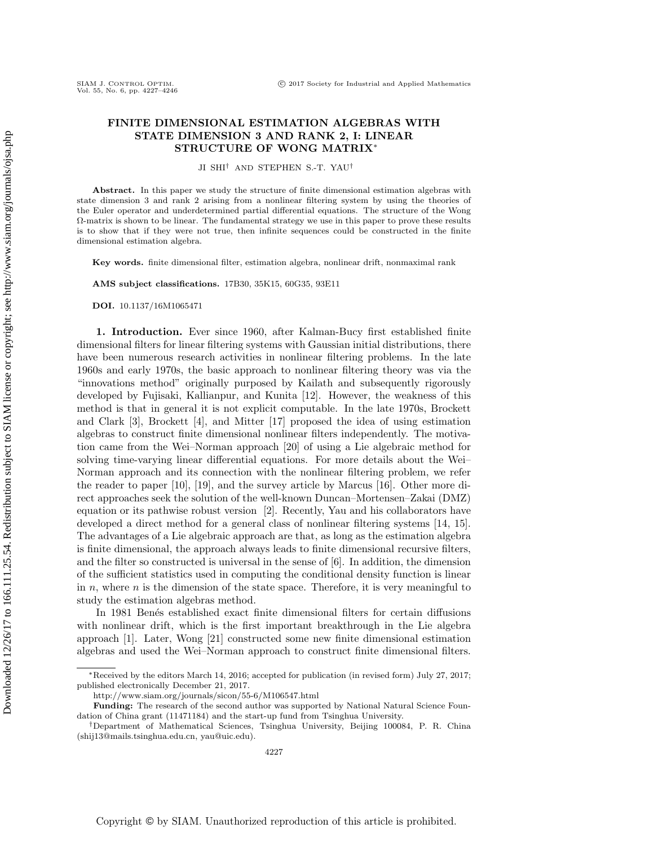## FINITE DIMENSIONAL ESTIMATION ALGEBRAS WITH STATE DIMENSION 3 AND RANK 2, I: LINEAR STRUCTURE OF WONG MATRIX<sup>∗</sup>

JI SHI† AND STEPHEN S.-T. YAU†

Abstract. In this paper we study the structure of finite dimensional estimation algebras with state dimension 3 and rank 2 arising from a nonlinear filtering system by using the theories of the Euler operator and underdetermined partial differential equations. The structure of the Wong Ω-matrix is shown to be linear. The fundamental strategy we use in this paper to prove these results is to show that if they were not true, then infinite sequences could be constructed in the finite dimensional estimation algebra.

Key words. finite dimensional filter, estimation algebra, nonlinear drift, nonmaximal rank

AMS subject classifications. 17B30, 35K15, 60G35, 93E11

DOI. 10.1137/16M1065471

SIAM J. CONTROL OPTIM.<br>Vol. 55, No. 6, pp. 4227-4246

1. Introduction. Ever since 1960, after Kalman-Bucy first established finite dimensional filters for linear filtering systems with Gaussian initial distributions, there have been numerous research activities in nonlinear filtering problems. In the late 1960s and early 1970s, the basic approach to nonlinear filtering theory was via the "innovations method" originally purposed by Kailath and subsequently rigorously developed by Fujisaki, Kallianpur, and Kunita [\[12\]](#page-18-0). However, the weakness of this method is that in general it is not explicit computable. In the late 1970s, Brockett and Clark [\[3\]](#page-18-1), Brockett [\[4\]](#page-18-2), and Mitter [\[17\]](#page-18-3) proposed the idea of using estimation algebras to construct finite dimensional nonlinear filters independently. The motivation came from the Wei–Norman approach [\[20\]](#page-19-0) of using a Lie algebraic method for solving time-varying linear differential equations. For more details about the Wei– Norman approach and its connection with the nonlinear filtering problem, we refer the reader to paper [\[10\]](#page-18-4), [\[19\]](#page-19-1), and the survey article by Marcus [\[16\]](#page-18-5). Other more direct approaches seek the solution of the well-known Duncan–Mortensen–Zakai (DMZ) equation or its pathwise robust version [\[2\]](#page-18-6). Recently, Yau and his collaborators have developed a direct method for a general class of nonlinear filtering systems [\[14,](#page-18-7) [15\]](#page-18-8). The advantages of a Lie algebraic approach are that, as long as the estimation algebra is finite dimensional, the approach always leads to finite dimensional recursive filters, and the filter so constructed is universal in the sense of [\[6\]](#page-18-9). In addition, the dimension of the sufficient statistics used in computing the conditional density function is linear in  $n$ , where  $n$  is the dimension of the state space. Therefore, it is very meaningful to study the estimation algebras method.

In 1981 Benés established exact finite dimensional filters for certain diffusions with nonlinear drift, which is the first important breakthrough in the Lie algebra approach [\[1\]](#page-18-10). Later, Wong [\[21\]](#page-19-2) constructed some new finite dimensional estimation algebras and used the Wei–Norman approach to construct finite dimensional filters.

<sup>∗</sup>Received by the editors March 14, 2016; accepted for publication (in revised form) July 27, 2017; published electronically December 21, 2017.

<http://www.siam.org/journals/sicon/55-6/M106547.html>

Funding: The research of the second author was supported by National Natural Science Foundation of China grant (11471184) and the start-up fund from Tsinghua University.

<sup>†</sup>Department of Mathematical Sciences, Tsinghua University, Beijing 100084, P. R. China [\(shij13@mails.tsinghua.edu.cn,](mailto:shij13@mails.tsinghua.edu.cn) [yau@uic.edu\)](mailto:yau@uic.edu).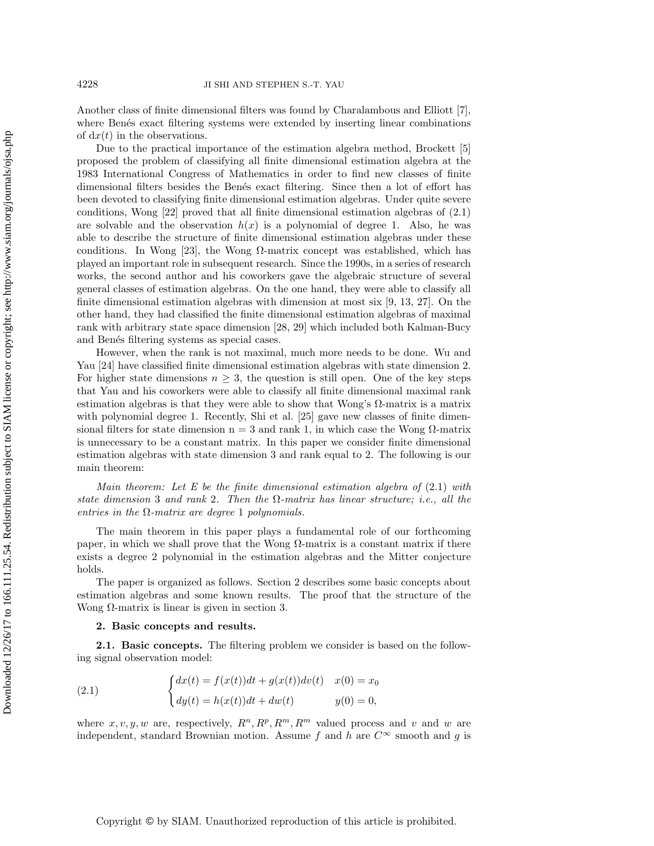Another class of finite dimensional filters was found by Charalambous and Elliott [\[7\]](#page-18-11), where Benés exact filtering systems were extended by inserting linear combinations of  $dx(t)$  in the observations.

Due to the practical importance of the estimation algebra method, Brockett [\[5\]](#page-18-12) proposed the problem of classifying all finite dimensional estimation algebra at the 1983 International Congress of Mathematics in order to find new classes of finite dimensional filters besides the Benés exact filtering. Since then a lot of effort has been devoted to classifying finite dimensional estimation algebras. Under quite severe conditions, Wong [\[22\]](#page-19-3) proved that all finite dimensional estimation algebras of (2.1) are solvable and the observation  $h(x)$  is a polynomial of degree 1. Also, he was able to describe the structure of finite dimensional estimation algebras under these conditions. In Wong  $[23]$ , the Wong  $\Omega$ -matrix concept was established, which has played an important role in subsequent research. Since the 1990s, in a series of research works, the second author and his coworkers gave the algebraic structure of several general classes of estimation algebras. On the one hand, they were able to classify all finite dimensional estimation algebras with dimension at most six [\[9,](#page-18-13) [13,](#page-18-14) [27\]](#page-19-5). On the other hand, they had classified the finite dimensional estimation algebras of maximal rank with arbitrary state space dimension [\[28,](#page-19-6) [29\]](#page-19-7) which included both Kalman-Bucy and Benés filtering systems as special cases.

However, when the rank is not maximal, much more needs to be done. Wu and Yau [\[24\]](#page-19-8) have classified finite dimensional estimation algebras with state dimension 2. For higher state dimensions  $n \geq 3$ , the question is still open. One of the key steps that Yau and his coworkers were able to classify all finite dimensional maximal rank estimation algebras is that they were able to show that Wong's  $\Omega$ -matrix is a matrix with polynomial degree 1. Recently, Shi et al. [\[25\]](#page-19-9) gave new classes of finite dimensional filters for state dimension  $n = 3$  and rank 1, in which case the Wong  $\Omega$ -matrix is unnecessary to be a constant matrix. In this paper we consider finite dimensional estimation algebras with state dimension 3 and rank equal to 2. The following is our main theorem:

Main theorem: Let E be the finite dimensional estimation algebra of  $(2.1)$  with state dimension 3 and rank 2. Then the  $\Omega$ -matrix has linear structure; i.e., all the entries in the  $\Omega$ -matrix are degree 1 polynomials.

The main theorem in this paper plays a fundamental role of our forthcoming paper, in which we shall prove that the Wong  $\Omega$ -matrix is a constant matrix if there exists a degree 2 polynomial in the estimation algebras and the Mitter conjecture holds.

The paper is organized as follows. Section 2 describes some basic concepts about estimation algebras and some known results. The proof that the structure of the Wong  $\Omega$ -matrix is linear is given in section 3.

## 2. Basic concepts and results.

2.1. Basic concepts. The filtering problem we consider is based on the following signal observation model:

<span id="page-1-0"></span>(2.1) 
$$
\begin{cases} dx(t) = f(x(t))dt + g(x(t))dv(t) & x(0) = x_0 \\ dy(t) = h(x(t))dt + dw(t) & y(0) = 0, \end{cases}
$$

where  $x, v, y, w$  are, respectively,  $R^n, R^p, R^m, R^m$  valued process and v and w are independent, standard Brownian motion. Assume f and h are  $C^{\infty}$  smooth and q is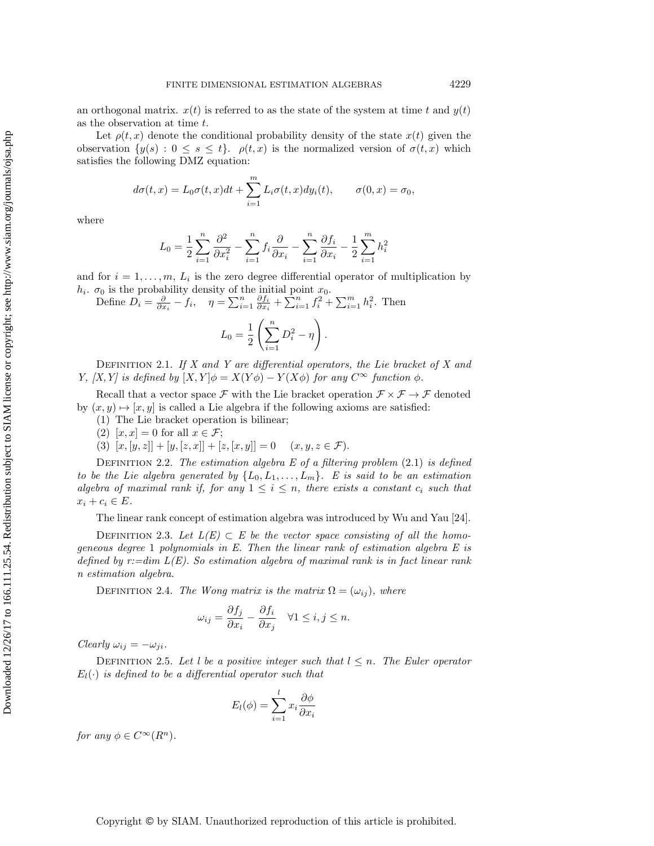an orthogonal matrix.  $x(t)$  is referred to as the state of the system at time t and  $y(t)$ as the observation at time t.

Let  $\rho(t, x)$  denote the conditional probability density of the state  $x(t)$  given the observation  $\{y(s): 0 \le s \le t\}$ .  $\rho(t, x)$  is the normalized version of  $\sigma(t, x)$  which satisfies the following DMZ equation:

$$
d\sigma(t,x) = L_0 \sigma(t,x)dt + \sum_{i=1}^m L_i \sigma(t,x)dy_i(t), \qquad \sigma(0,x) = \sigma_0,
$$

where

$$
L_0 = \frac{1}{2} \sum_{i=1}^n \frac{\partial^2}{\partial x_i^2} - \sum_{i=1}^n f_i \frac{\partial}{\partial x_i} - \sum_{i=1}^n \frac{\partial f_i}{\partial x_i} - \frac{1}{2} \sum_{i=1}^m h_i^2
$$

and for  $i = 1, \ldots, m, L_i$  is the zero degree differential operator of multiplication by  $h_i$ .  $\sigma_0$  is the probability density of the initial point  $x_0$ .

Define  $D_i = \frac{\partial}{\partial x_i} - f_i$ ,  $\eta = \sum_{i=1}^n \frac{\partial f_i}{\partial x_i} + \sum_{i=1}^n f_i^2 + \sum_{i=1}^m h_i^2$ . Then

$$
L_0 = \frac{1}{2} \left( \sum_{i=1}^n D_i^2 - \eta \right)
$$

DEFINITION 2.1. If  $X$  and  $Y$  are differential operators, the Lie bracket of  $X$  and Y, [X, Y] is defined by  $[X, Y] \phi = X(Y\phi) - Y(X\phi)$  for any  $C^{\infty}$  function  $\phi$ .

Recall that a vector space F with the Lie bracket operation  $\mathcal{F} \times \mathcal{F} \to \mathcal{F}$  denoted by  $(x, y) \mapsto [x, y]$  is called a Lie algebra if the following axioms are satisfied:

- (1) The Lie bracket operation is bilinear;
- (2)  $[x, x] = 0$  for all  $x \in \mathcal{F}$ ;
- (3)  $[x, [y, z]] + [y, [z, x]] + [z, [x, y]] = 0 \quad (x, y, z \in \mathcal{F}).$

DEFINITION 2.2. The estimation algebra  $E$  of a filtering problem  $(2.1)$  is defined to be the Lie algebra generated by  $\{L_0, L_1, \ldots, L_m\}$ . E is said to be an estimation algebra of maximal rank if, for any  $1 \leq i \leq n$ , there exists a constant  $c_i$  such that  $x_i + c_i \in E$ .

The linear rank concept of estimation algebra was introduced by Wu and Yau [\[24\]](#page-19-8).

DEFINITION 2.3. Let  $L(E) \subset E$  be the vector space consisting of all the homogeneous degree 1 polynomials in  $E$ . Then the linear rank of estimation algebra  $E$  is defined by  $r:=\dim L(E)$ . So estimation algebra of maximal rank is in fact linear rank n estimation algebra.

DEFINITION 2.4. The Wong matrix is the matrix  $\Omega = (\omega_{ij})$ , where

$$
\omega_{ij} = \frac{\partial f_j}{\partial x_i} - \frac{\partial f_i}{\partial x_j} \quad \forall 1 \le i, j \le n.
$$

Clearly  $\omega_{ij} = -\omega_{ji}$ .

DEFINITION 2.5. Let l be a positive integer such that  $l \leq n$ . The Euler operator  $E_l(\cdot)$  is defined to be a differential operator such that

$$
E_l(\phi) = \sum_{i=1}^l x_i \frac{\partial \phi}{\partial x_i}
$$

for any  $\phi \in C^{\infty}(R^n)$ .

.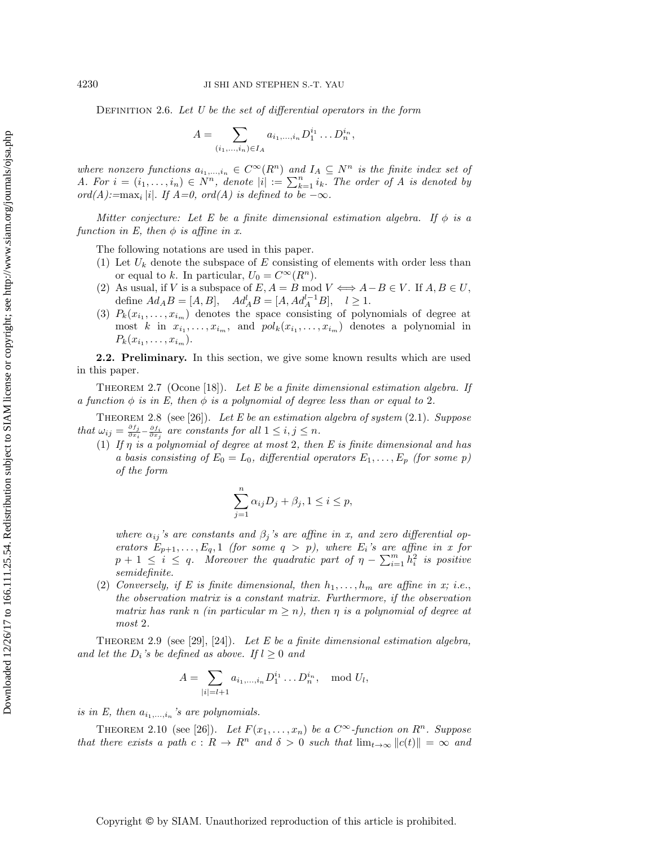DEFINITION 2.6. Let  $U$  be the set of differential operators in the form

$$
A = \sum_{(i_1,\ldots,i_n)\in I_A} a_{i_1,\ldots,i_n} D_1^{i_1} \ldots D_n^{i_n},
$$

where nonzero functions  $a_{i_1,...,i_n} \in C^{\infty}(R^n)$  and  $I_A \subseteq N^n$  is the finite index set of A. For  $i = (i_1, \ldots, i_n) \in N^n$ , denote  $|i| := \sum_{k=1}^n i_k$ . The order of A is denoted by ord(A):= $\max_i |i|$ . If  $A=0$ , ord(A) is defined to be  $-\infty$ .

Mitter conjecture: Let E be a finite dimensional estimation algebra. If  $\phi$  is a function in E, then  $\phi$  is affine in x.

The following notations are used in this paper.

- (1) Let  $U_k$  denote the subspace of E consisting of elements with order less than or equal to k. In particular,  $U_0 = C^{\infty}(R^n)$ .
- (2) As usual, if V is a subspace of  $E, A = B \text{ mod } V \Longleftrightarrow A B \in V$ . If  $A, B \in U$ , define  $Ad_AB = [A, B], \quad Ad_A^l B = [A, Ad_A^{l-1}B], \quad l \ge 1.$
- (3)  $P_k(x_{i_1},...,x_{i_m})$  denotes the space consisting of polynomials of degree at most k in  $x_{i_1}, \ldots, x_{i_m}$ , and  $pol_k(x_{i_1}, \ldots, x_{i_m})$  denotes a polynomial in  $P_k(x_{i_1},...,x_{i_m}).$

2.2. Preliminary. In this section, we give some known results which are used in this paper.

<span id="page-3-1"></span>THEOREM 2.7 (Ocone [\[18\]](#page-18-15)). Let E be a finite dimensional estimation algebra. If a function  $\phi$  is in E, then  $\phi$  is a polynomial of degree less than or equal to 2.

THEOREM 2.8 (see [\[26\]](#page-19-10)). Let E be an estimation algebra of system  $(2.1)$ . Suppose that  $\omega_{ij} = \frac{\partial f_j}{\partial x_i} - \frac{\partial f_i}{\partial x_j}$  are constants for all  $1 \leq i, j \leq n$ .

(1) If  $\eta$  is a polynomial of degree at most 2, then E is finite dimensional and has a basis consisting of  $E_0 = L_0$ , differential operators  $E_1, \ldots, E_p$  (for some p) of the form

$$
\sum_{j=1}^{n} \alpha_{ij} D_j + \beta_j, 1 \le i \le p,
$$

where  $\alpha_{ij}$ 's are constants and  $\beta_j$ 's are affine in x, and zero differential operators  $E_{p+1}, \ldots, E_q, 1$  (for some  $q > p$ ), where  $E_i$ 's are affine in x for  $p + 1 \leq i \leq q$ . Moreover the quadratic part of  $\eta - \sum_{i=1}^{m} h_i^2$  is positive semidefinite.

(2) Conversely, if E is finite dimensional, then  $h_1, \ldots, h_m$  are affine in x; i.e., the observation matrix is a constant matrix. Furthermore, if the observation matrix has rank n (in particular  $m \geq n$ ), then  $\eta$  is a polynomial of degree at most 2.

<span id="page-3-2"></span>THEOREM 2.9 (see [\[29\]](#page-19-7), [\[24\]](#page-19-8)). Let E be a finite dimensional estimation algebra, and let the  $D_i$ 's be defined as above. If  $l \geq 0$  and

$$
A = \sum_{|i|=l+1} a_{i_1,\dots,i_n} D_1^{i_1} \dots D_n^{i_n}, \mod U_l,
$$

is in E, then  $a_{i_1,...,i_n}$ 's are polynomials.

<span id="page-3-0"></span>THEOREM 2.10 (see [\[26\]](#page-19-10)). Let  $F(x_1, \ldots, x_n)$  be a  $C^{\infty}$ -function on  $R^n$ . Suppose that there exists a path  $c: R \to R^n$  and  $\delta > 0$  such that  $\lim_{t\to\infty} ||c(t)|| = \infty$  and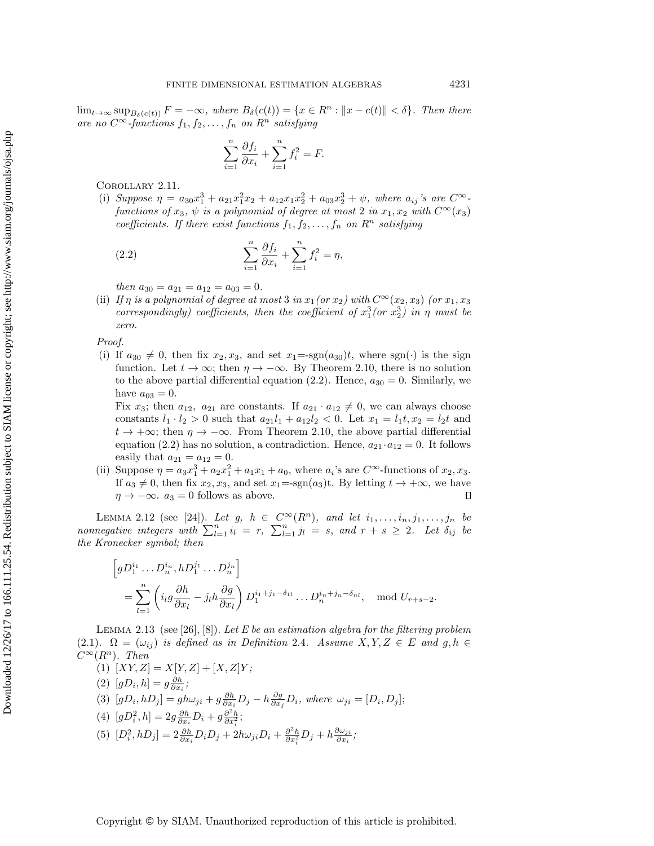Downloaded 12/26/17 to 166.111.25.54. Redistribution subject to SIAM license or copyright; see http://www.siam.org/journals/ojsa.php

 $\lim_{t\to\infty} \sup_{B_\delta(c(t))} F = -\infty$ , where  $B_\delta(c(t)) = \{x \in R^n : ||x - c(t)|| < \delta\}$ . Then there are no  $C^{\infty}$ -functions  $f_1, f_2, \ldots, f_n$  on  $R^n$  satisfying

$$
\sum_{i=1}^{n} \frac{\partial f_i}{\partial x_i} + \sum_{i=1}^{n} f_i^2 = F.
$$

Corollary 2.11.

(i) Suppose  $\eta = a_{30}x_1^3 + a_{21}x_1^2x_2 + a_{12}x_1x_2^2 + a_{03}x_2^3 + \psi$ , where  $a_{ij}$ 's are  $C^{\infty}$ functions of  $x_3$ ,  $\psi$  is a polynomial of degree at most 2 in  $x_1, x_2$  with  $C^{\infty}(x_3)$ coefficients. If there exist functions  $f_1, f_2, \ldots, f_n$  on  $R^n$  satisfying

<span id="page-4-0"></span>(2.2) 
$$
\sum_{i=1}^{n} \frac{\partial f_i}{\partial x_i} + \sum_{i=1}^{n} f_i^2 = \eta,
$$

then  $a_{30} = a_{21} = a_{12} = a_{03} = 0.$ 

(ii) If  $\eta$  is a polynomial of degree at most 3 in  $x_1$  (or  $x_2$ ) with  $C^{\infty}(x_2, x_3)$  (or  $x_1, x_3$ ) correspondingly) coefficients, then the coefficient of  $x_1^3$  (or  $x_2^3$ ) in  $\eta$  must be zero.

Proof.

(i) If  $a_{30} \neq 0$ , then fix  $x_2, x_3$ , and set  $x_1 = \text{sgn}(a_{30})t$ , where sgn(·) is the sign function. Let  $t \to \infty$ ; then  $\eta \to -\infty$ . By Theorem [2.10,](#page-3-0) there is no solution to the above partial differential equation [\(2.2\)](#page-4-0). Hence,  $a_{30} = 0$ . Similarly, we have  $a_{03} = 0$ .

Fix  $x_3$ ; then  $a_{12}$ ,  $a_{21}$  are constants. If  $a_{21} \cdot a_{12} \neq 0$ , we can always choose constants  $l_1 \cdot l_2 > 0$  such that  $a_{21}l_1 + a_{12}l_2 < 0$ . Let  $x_1 = l_1t, x_2 = l_2t$  and  $t \to +\infty$ ; then  $\eta \to -\infty$ . From Theorem [2.10,](#page-3-0) the above partial differential equation (2.[2\)](#page-4-0) has no solution, a contradiction. Hence,  $a_{21} \cdot a_{12} = 0$ . It follows easily that  $a_{21} = a_{12} = 0$ .

(ii) Suppose  $\eta = a_3 x_1^3 + a_2 x_1^2 + a_1 x_1 + a_0$ , where  $a_i$ 's are  $C^{\infty}$ -functions of  $x_2, x_3$ . If  $a_3 \neq 0$ , then fix  $x_2, x_3$ , and set  $x_1 = \text{sgn}(a_3)$ t. By letting  $t \to +\infty$ , we have  $\eta \rightarrow -\infty$ .  $a_3 = 0$  follows as above.  $\Box$ 

<span id="page-4-1"></span>LEMMA 2.12 (see [\[24\]](#page-19-8)). Let g,  $h \in C^{\infty}(R^n)$ , and let  $i_1, \ldots, i_n, j_1, \ldots, j_n$  be nonnegative integers with  $\sum_{l=1}^{n} i_l = r$ ,  $\sum_{l=1}^{n} j_l = s$ , and  $r + s \geq 2$ . Let  $\delta_{ij}$  be the Kronecker symbol; then

$$
\[gD_1^{i_1} \dots D_n^{i_n}, hD_1^{j_1} \dots D_n^{j_n}\]
$$
  
= 
$$
\sum_{l=1}^n \left( i_l g \frac{\partial h}{\partial x_l} - j_l h \frac{\partial g}{\partial x_l} \right) D_1^{i_1+j_1-\delta_{1l}} \dots D_n^{i_n+j_n-\delta_{nl}}, \mod U_{r+s-2}.
$$

LEMMA 2.13 (see [\[26\]](#page-19-10), [\[8\]](#page-18-16)). Let E be an estimation algebra for the filtering problem (2.1).  $\Omega = (\omega_{ij})$  is defined as in Definition 2.4. Assume  $X, Y, Z \in E$  and  $g, h \in E$  $C^{\infty}(R^n)$ . Then

(1)  $[XY, Z] = X[Y, Z] + [X, Z]Y;$ 

(2)  $[gD_i, h] = g\frac{\partial h}{\partial x_i};$ 

- (3)  $[gD_i, hD_j] = gh\omega_{ji} + g\frac{\partial h}{\partial x_i}D_j h\frac{\partial g}{\partial x_j}D_i$ , where  $\omega_{ji} = [D_i, D_j]$ ;
- (4)  $[gD_i^2, h] = 2g \frac{\partial h}{\partial x_i} D_i + g \frac{\partial^2 h}{\partial x_i^2};$
- (5)  $[D_i^2, hD_j] = 2 \frac{\partial h}{\partial x_i} D_i D_j + 2h\omega_{ji} D_i + \frac{\partial^2 h}{\partial x_i^2} D_j + h \frac{\partial \omega_{ji}}{\partial x_i}$  $\frac{\partial \omega_{ji}}{\partial x_i};$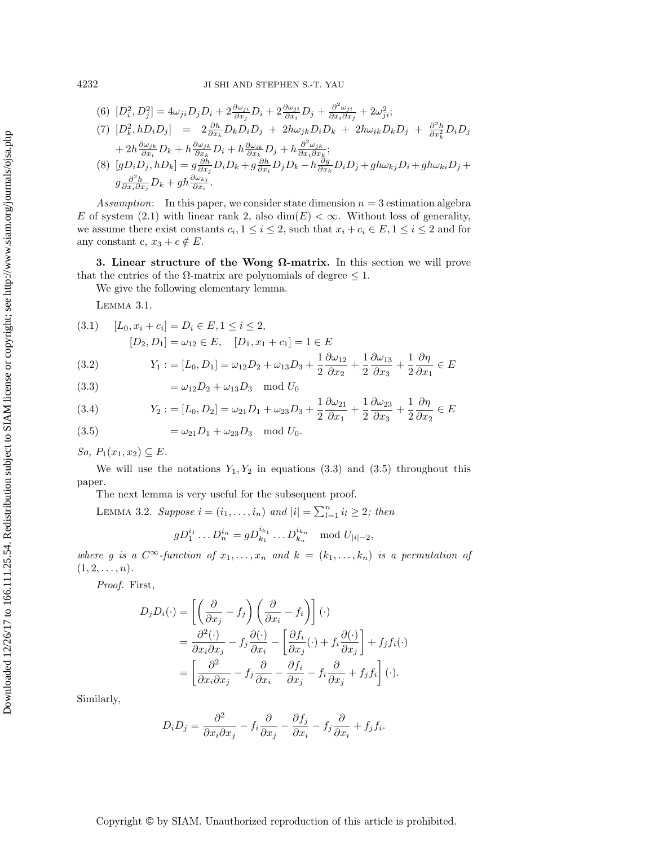(6) 
$$
[D_i^2, D_j^2] = 4\omega_{ji}D_jD_i + 2\frac{\partial\omega_{ji}}{\partial x_i}D_i + 2\frac{\partial\omega_{ji}}{\partial x_i}D_j + \frac{\partial^2\omega_{ji}}{\partial x_i\partial x_j} + 2\omega_{ji}^2;
$$
  
\n(7) 
$$
[D_k^2, hD_iD_j] = 2\frac{\partial h}{\partial x_k}D_kD_iD_j + 2h\omega_{jk}D_iD_k + 2h\omega_{ik}D_kD_j + \frac{\partial^2 h}{\partial x_k}D_iD_j
$$
  
\n
$$
+ 2h\frac{\partial\omega_{jk}}{\partial x_i}D_k + h\frac{\partial\omega_{jk}}{\partial x_k}D_i + h\frac{\partial\omega_{ik}}{\partial x_k}D_j + h\frac{\partial^2\omega_{jk}}{\partial x_i\partial x_k};
$$
  
\n(8) 
$$
[gD_iD_j, hD_k] = g\frac{\partial h}{\partial x_j}D_iD_k + g\frac{\partial h}{\partial x_i}D_jD_k - h\frac{\partial g}{\partial x_k}D_iD_j + gh\omega_{kj}D_i + gh\omega_{ki}D_j +
$$
  
\n
$$
g\frac{\partial^2 h}{\partial x_i\partial x_j}D_k + gh\frac{\partial\omega_{kj}}{\partial x_i}.
$$

Assumption: In this paper, we consider state dimension  $n = 3$  estimation algebra E of system (2.1) with linear rank 2, also  $\dim(E) < \infty$ . Without loss of generality, we assume there exist constants  $c_i, 1 \leq i \leq 2$ , such that  $x_i + c_i \in E, 1 \leq i \leq 2$  and for any constant c,  $x_3 + c \notin E$ .

3. Linear structure of the Wong Ω-matrix. In this section we will prove that the entries of the  $\Omega$ -matrix are polynomials of degree  $\leq 1$ .

We give the following elementary lemma.

Lemma 3.1.

$$
(3.1) \quad [L_0, x_i + c_i] = D_i \in E, 1 \le i \le 2,
$$

$$
[D_2, D_1] = \omega_{12} \in E, \quad [D_1, x_1 + c_1] = 1 \in E
$$

(3.2) 
$$
Y_1 := [L_0, D_1] = \omega_{12}D_2 + \omega_{13}D_3 + \frac{1}{2}\frac{\partial \omega_{12}}{\partial x_2} + \frac{1}{2}\frac{\partial \omega_{13}}{\partial x_3} + \frac{1}{2}\frac{\partial \eta}{\partial x_1} \in E
$$

<span id="page-5-0"></span>(3.3) 
$$
= \omega_{12}D_2 + \omega_{13}D_3 \mod U_0
$$

(3.4) 
$$
Y_2 := [L_0, D_2] = \omega_{21}D_1 + \omega_{23}D_3 + \frac{1}{2}\frac{\partial \omega_{21}}{\partial x_1} + \frac{1}{2}\frac{\partial \omega_{23}}{\partial x_3} + \frac{1}{2}\frac{\partial \eta}{\partial x_2} \in E
$$

<span id="page-5-1"></span>(3.5) 
$$
= \omega_{21} D_1 + \omega_{23} D_3 \mod U_0.
$$

So,  $P_1(x_1, x_2) \subseteq E$ .

We will use the notations  $Y_1, Y_2$  in equations [\(3.3\)](#page-5-0) and [\(3.5\)](#page-5-1) throughout this paper.

The next lemma is very useful for the subsequent proof.

LEMMA 3.2. Suppose  $i = (i_1, \ldots, i_n)$  and  $|i| = \sum_{l=1}^n i_l \geq 2$ ; then

<span id="page-5-2"></span>
$$
gD_1^{i_1}\ldots D_n^{i_n} = gD_{k_1}^{i_{k_1}}\ldots D_{k_n}^{i_{k_n}}
$$
 mod  $U_{|i|-2}$ ,

where g is a  $C^{\infty}$ -function of  $x_1, \ldots, x_n$  and  $k = (k_1, \ldots, k_n)$  is a permutation of  $(1, 2, \ldots, n).$ 

Proof. First,

$$
D_j D_i(\cdot) = \left[ \left( \frac{\partial}{\partial x_j} - f_j \right) \left( \frac{\partial}{\partial x_i} - f_i \right) \right] (\cdot)
$$
  
= 
$$
\frac{\partial^2 (\cdot)}{\partial x_i \partial x_j} - f_j \frac{\partial (\cdot)}{\partial x_i} - \left[ \frac{\partial f_i}{\partial x_j} (\cdot) + f_i \frac{\partial (\cdot)}{\partial x_j} \right] + f_j f_i(\cdot)
$$
  
= 
$$
\left[ \frac{\partial^2}{\partial x_i \partial x_j} - f_j \frac{\partial}{\partial x_i} - \frac{\partial f_i}{\partial x_j} - f_i \frac{\partial}{\partial x_j} + f_j f_i \right] (\cdot).
$$

Similarly,

$$
D_i D_j = \frac{\partial^2}{\partial x_i \partial x_j} - f_i \frac{\partial}{\partial x_j} - \frac{\partial f_j}{\partial x_i} - f_j \frac{\partial}{\partial x_i} + f_j f_i.
$$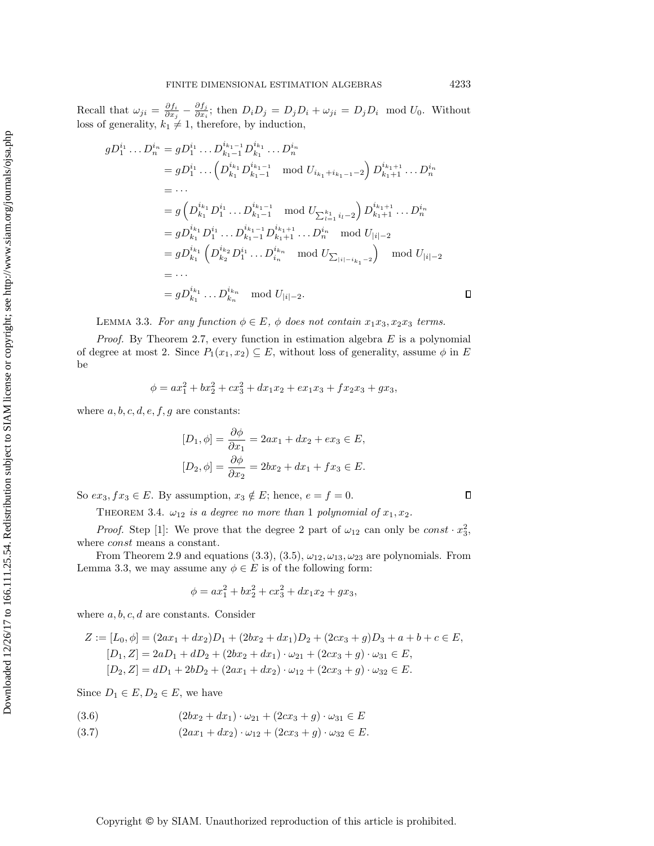Recall that  $\omega_{ji} = \frac{\partial f_i}{\partial x_j} - \frac{\partial f_j}{\partial x_i}$  $\frac{\partial J_j}{\partial x_i}$ ; then  $D_i D_j = D_j D_i + \omega_{ji} = D_j D_i \mod U_0$ . Without loss of generality,  $k_1 \neq 1$ , therefore, by induction,

$$
D_1^{i_1} \dots D_n^{i_n} = gD_1^{i_1} \dots D_{k_1-1}^{i_{k_1-1}} D_{k_1}^{i_{k_1}} \dots D_n^{i_n}
$$
  
\n
$$
= gD_1^{i_1} \dots \left( D_{k_1}^{i_{k_1}} D_{k_1-1}^{i_{k_1-1}} \mod U_{i_{k_1}+i_{k_1-1}-2} \right) D_{k_1+1}^{i_{k_1+1}} \dots D_n^{i_n}
$$
  
\n
$$
= \dots
$$
  
\n
$$
= g \left( D_{k_1}^{i_{k_1}} D_1^{i_1} \dots D_{k_1-1}^{i_{k_1-1}} \mod U_{\sum_{l=1}^{k_1} i_l-2} \right) D_{k_1+1}^{i_{k_1+1}} \dots D_n^{i_n}
$$
  
\n
$$
= gD_{k_1}^{i_{k_1}} D_1^{i_1} \dots D_{k_1-1}^{i_{k_1-1}} D_{k_1+1}^{i_{k_1+1}} \dots D_n^{i_n} \mod U_{|i|-2}
$$
  
\n
$$
= gD_{k_1}^{i_{k_1}} \left( D_{k_2}^{i_{k_2}} D_1^{i_1} \dots D_{i_n}^{i_{k_n}} \mod U_{\sum_{|i|-i_{k_1}-2}} \right) \mod U_{|i|-2}
$$
  
\n
$$
= \dots
$$
  
\n
$$
= gD_{k_1}^{i_{k_1}} \dots D_{k_n}^{i_{k_n}} \mod U_{|i|-2}.
$$

<span id="page-6-0"></span>LEMMA 3.3. For any function  $\phi \in E$ ,  $\phi$  does not contain  $x_1x_3, x_2x_3$  terms.

*Proof.* By Theorem [2.7,](#page-3-1) every function in estimation algebra  $E$  is a polynomial of degree at most 2. Since  $P_1(x_1, x_2) \subseteq E$ , without loss of generality, assume  $\phi$  in E be

$$
\phi = ax_1^2 + bx_2^2 + cx_3^2 + dx_1x_2 + ex_1x_3 + fx_2x_3 + gx_3,
$$

where  $a, b, c, d, e, f, g$  are constants:

 $\boldsymbol{g}$ 

$$
[D_1, \phi] = \frac{\partial \phi}{\partial x_1} = 2ax_1 + dx_2 + ex_3 \in E,
$$
  

$$
[D_2, \phi] = \frac{\partial \phi}{\partial x_2} = 2bx_2 + dx_1 + fx_3 \in E.
$$

<span id="page-6-3"></span>So  $ex_3, fx_3 \in E$ . By assumption,  $x_3 \notin E$ ; hence,  $e = f = 0$ .

THEOREM 3.4.  $\omega_{12}$  is a degree no more than 1 polynomial of  $x_1, x_2$ .

*Proof.* Step [1]: We prove that the degree 2 part of  $\omega_{12}$  can only be const  $\cdot x_3^2$ , where *const* means a constant.

From Theorem [2.9](#page-3-2) and equations [\(3](#page-5-1).3), (3.5),  $\omega_{12}, \omega_{13}, \omega_{23}$  are polynomials. From Lemma [3.3,](#page-6-0) we may assume any  $\phi \in E$  is of the following form:

$$
\phi = ax_1^2 + bx_2^2 + cx_3^2 + dx_1x_2 + gx_3,
$$

where  $a, b, c, d$  are constants. Consider

$$
Z := [L_0, \phi] = (2ax_1 + dx_2)D_1 + (2bx_2 + dx_1)D_2 + (2cx_3 + g)D_3 + a + b + c \in E,
$$
  
\n
$$
[D_1, Z] = 2aD_1 + dD_2 + (2bx_2 + dx_1) \cdot \omega_{21} + (2cx_3 + g) \cdot \omega_{31} \in E,
$$
  
\n
$$
[D_2, Z] = dD_1 + 2bD_2 + (2ax_1 + dx_2) \cdot \omega_{12} + (2cx_3 + g) \cdot \omega_{32} \in E.
$$

Since  $D_1 \in E$ ,  $D_2 \in E$ , we have

<span id="page-6-2"></span>(3.6) 
$$
(2bx_2 + dx_1) \cdot \omega_{21} + (2cx_3 + g) \cdot \omega_{31} \in E
$$

<span id="page-6-1"></span>(3.7)  $(2ax_1 + dx_2) \cdot \omega_{12} + (2cx_3 + g) \cdot \omega_{32} \in E.$ 

 $\Box$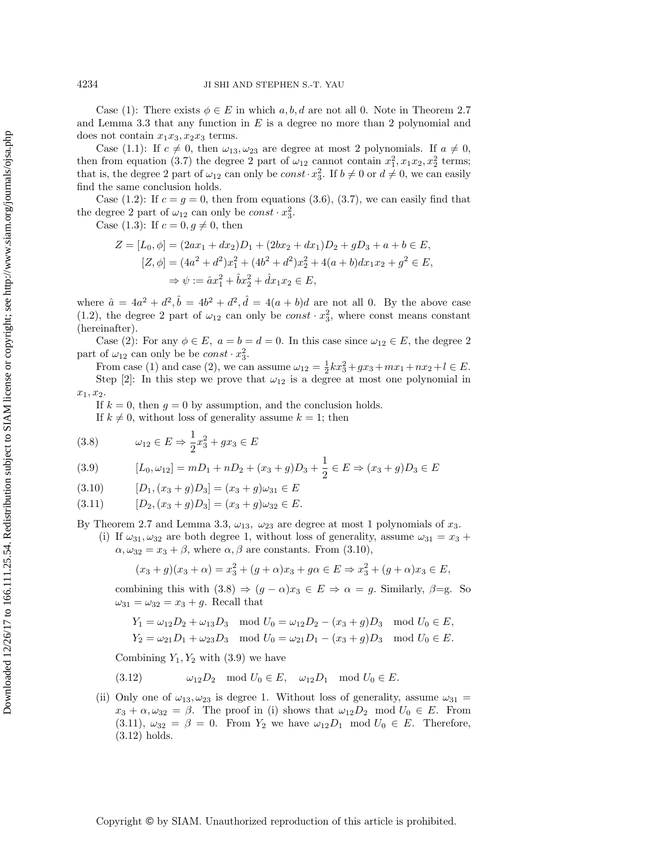Case (1): There exists  $\phi \in E$  in which a, b, d are not all 0. Note in Theorem [2.7](#page-3-1) and Lemma [3.3](#page-6-0) that any function in  $E$  is a degree no more than 2 polynomial and does not contain  $x_1x_3, x_2x_3$  terms.

Case (1.1): If  $c \neq 0$ , then  $\omega_{13}, \omega_{23}$  are degree at most 2 polynomials. If  $a \neq 0$ , then from equation (3.[7\)](#page-6-1) the degree 2 part of  $\omega_{12}$  cannot contain  $x_1^2, x_1x_2, x_2^2$  terms; that is, the degree 2 part of  $\omega_{12}$  can only be  $const \cdot x_3^2$ . If  $b \neq 0$  or  $d \neq 0$ , we can easily find the same conclusion holds.

Case (1.2): If  $c = g = 0$ , then from equations [\(3](#page-6-2).6), (3.[7\)](#page-6-1), we can easily find that the degree 2 part of  $\omega_{12}$  can only be  $const \cdot x_3^2$ .

Case (1.3): If  $c = 0, g \neq 0$ , then

$$
Z = [L_0, \phi] = (2ax_1 + dx_2)D_1 + (2bx_2 + dx_1)D_2 + gD_3 + a + b \in E,
$$
  
\n
$$
[Z, \phi] = (4a^2 + d^2)x_1^2 + (4b^2 + d^2)x_2^2 + 4(a+b)dx_1x_2 + g^2 \in E,
$$
  
\n
$$
\Rightarrow \psi := \hat{a}x_1^2 + \hat{b}x_2^2 + \hat{d}x_1x_2 \in E,
$$

where  $\hat{a} = 4a^2 + d^2$ ,  $\hat{b} = 4b^2 + d^2$ ,  $\hat{d} = 4(a + b)d$  are not all 0. By the above case (1.2), the degree 2 part of  $\omega_{12}$  can only be  $const \cdot x_3^2$ , where const means constant (hereinafter).

Case (2): For any  $\phi \in E$ ,  $a = b = d = 0$ . In this case since  $\omega_{12} \in E$ , the degree 2 part of  $\omega_{12}$  can only be be  $const \cdot x_3^2$ .

From case (1) and case (2), we can assume  $\omega_{12} = \frac{1}{2}kx_3^2 + gx_3 + mx_1 + nx_2 + l \in E$ . Step [2]: In this step we prove that  $\omega_{12}$  is a degree at most one polynomial in  $x_1, x_2.$ 

If  $k = 0$ , then  $g = 0$  by assumption, and the conclusion holds.

If  $k \neq 0$ , without loss of generality assume  $k = 1$ ; then

<span id="page-7-1"></span>(3.8) 
$$
\omega_{12} \in E \Rightarrow \frac{1}{2}x_3^2 + gx_3 \in E
$$

<span id="page-7-2"></span>(3.9) 
$$
[L_0, \omega_{12}] = mD_1 + nD_2 + (x_3 + g)D_3 + \frac{1}{2} \in E \Rightarrow (x_3 + g)D_3 \in E
$$

<span id="page-7-3"></span><span id="page-7-0"></span>
$$
(3.10) \qquad [D_1, (x_3 + g)D_3] = (x_3 + g)\omega_{31} \in E
$$

$$
(3.11) \t [D2, (x3 + g)D3] = (x3 + g)\omega_{32} \in E.
$$

By Theorem [2.7](#page-3-1) and Lemma [3.3,](#page-6-0)  $\omega_{13}$ ,  $\omega_{23}$  are degree at most 1 polynomials of  $x_3$ .

(i) If  $\omega_{31}, \omega_{32}$  are both degree 1, without loss of generality, assume  $\omega_{31} = x_3 +$  $\alpha, \omega_{32} = x_3 + \beta$ , where  $\alpha, \beta$  are constants. From (3.[10\)](#page-7-0),

$$
(x_3 + g)(x_3 + \alpha) = x_3^2 + (g + \alpha)x_3 + g\alpha \in E \Rightarrow x_3^2 + (g + \alpha)x_3 \in E,
$$

combining this with  $(3.8) \Rightarrow (g - \alpha)x_3 \in E \Rightarrow \alpha = g$  $(3.8) \Rightarrow (g - \alpha)x_3 \in E \Rightarrow \alpha = g$ . Similarly,  $\beta = g$ . So  $\omega_{31} = \omega_{32} = x_3 + g$ . Recall that

$$
Y_1 = \omega_{12}D_2 + \omega_{13}D_3 \mod U_0 = \omega_{12}D_2 - (x_3 + g)D_3 \mod U_0 \in E,
$$
  
\n
$$
Y_2 = \omega_{21}D_1 + \omega_{23}D_3 \mod U_0 = \omega_{21}D_1 - (x_3 + g)D_3 \mod U_0 \in E.
$$

Combining  $Y_1, Y_2$  with [\(3](#page-7-2).9) we have

<span id="page-7-4"></span>
$$
(3.12) \t\t\t \omega_{12}D_2 \mod U_0 \in E, \quad \omega_{12}D_1 \mod U_0 \in E.
$$

(ii) Only one of  $\omega_{13}, \omega_{23}$  is degree 1. Without loss of generality, assume  $\omega_{31} =$  $x_3 + \alpha, \omega_{32} = \beta$ . The proof in (i) shows that  $\omega_{12}D_2 \mod U_0 \in E$ . From  $(3.11)$  $(3.11)$ ,  $\omega_{32} = \beta = 0$ . From  $Y_2$  we have  $\omega_{12}D_1 \mod U_0 \in E$ . Therefore, [\(3.12\)](#page-7-4) holds.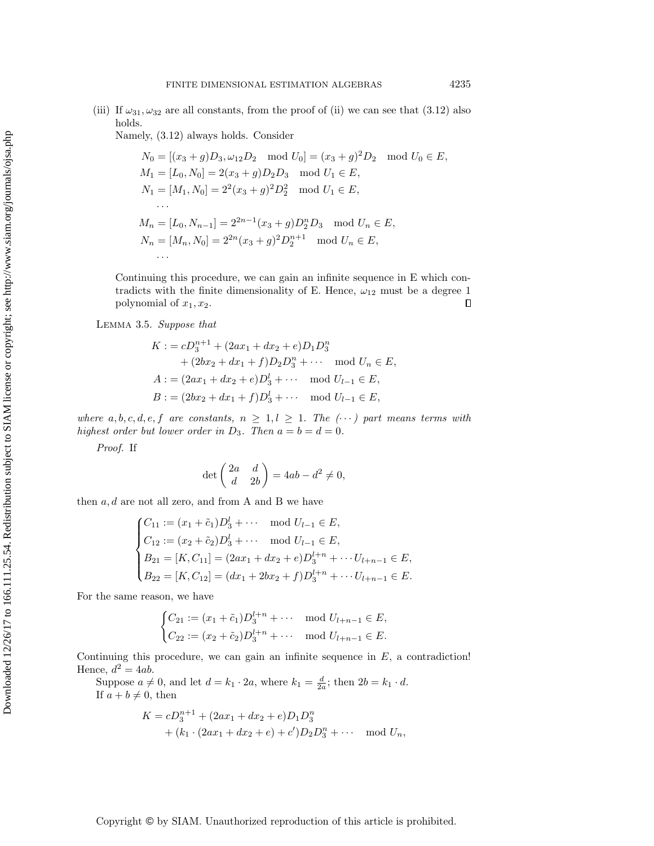(iii) If  $\omega_{31}, \omega_{32}$  are all constants, from the proof of (ii) we can see that (3.[12\)](#page-7-4) also holds.

Namely, (3.[12\)](#page-7-4) always holds. Consider

$$
N_0 = [(x_3 + g)D_3, \omega_{12}D_2 \mod U_0] = (x_3 + g)^2D_2 \mod U_0 \in E,
$$
  
\n
$$
M_1 = [L_0, N_0] = 2(x_3 + g)D_2D_3 \mod U_1 \in E,
$$
  
\n
$$
N_1 = [M_1, N_0] = 2^2(x_3 + g)^2D_2^2 \mod U_1 \in E,
$$
  
\n...  
\n
$$
M_n = [L_0, N_{n-1}] = 2^{2n-1}(x_3 + g)D_2^nD_3 \mod U_n \in E,
$$
  
\n
$$
N_n = [M_n, N_0] = 2^{2n}(x_3 + g)^2D_2^{n+1} \mod U_n \in E,
$$
  
\n...

Continuing this procedure, we can gain an infinite sequence in E which contradicts with the finite dimensionality of E. Hence,  $\omega_{12}$  must be a degree 1 polynomial of  $x_1, x_2$ .  $\Box$ 

<span id="page-8-0"></span>Lemma 3.5. Suppose that

$$
K := cD_3^{n+1} + (2ax_1 + dx_2 + e)D_1D_3^n
$$
  
+  $(2bx_2 + dx_1 + f)D_2D_3^n + \cdots \mod U_n \in E$ ,  

$$
A := (2ax_1 + dx_2 + e)D_3^1 + \cdots \mod U_{l-1} \in E
$$
,  

$$
B := (2bx_2 + dx_1 + f)D_3^l + \cdots \mod U_{l-1} \in E
$$
,

where a, b, c, d, e, f are constants,  $n \geq 1, l \geq 1$ . The  $(\cdots)$  part means terms with highest order but lower order in  $D_3$ . Then  $a = b = d = 0$ .

Proof. If

$$
\det\begin{pmatrix} 2a & d \ d & 2b \end{pmatrix} = 4ab - d^2 \neq 0,
$$

then  $a, d$  are not all zero, and from A and B we have

$$
\begin{cases}\nC_{11} := (x_1 + \tilde{c}_1)D_3^l + \cdots \mod U_{l-1} \in E, \\
C_{12} := (x_2 + \tilde{c}_2)D_3^l + \cdots \mod U_{l-1} \in E, \\
B_{21} = [K, C_{11}] = (2ax_1 + dx_2 + e)D_3^{l+n} + \cdots U_{l+n-1} \in E, \\
B_{22} = [K, C_{12}] = (dx_1 + 2bx_2 + f)D_3^{l+n} + \cdots U_{l+n-1} \in E.\n\end{cases}
$$

For the same reason, we have

$$
\begin{cases} C_{21} := (x_1 + \tilde{c}_1)D_3^{l+n} + \cdots \mod U_{l+n-1} \in E, \\ C_{22} := (x_2 + \tilde{c}_2)D_3^{l+n} + \cdots \mod U_{l+n-1} \in E. \end{cases}
$$

Continuing this procedure, we can gain an infinite sequence in  $E$ , a contradiction! Hence,  $d^2 = 4ab$ .

Suppose  $a \neq 0$ , and let  $d = k_1 \cdot 2a$ , where  $k_1 = \frac{d}{2a}$ ; then  $2b = k_1 \cdot d$ . If  $a + b \neq 0$ , then

$$
K = cD_3^{n+1} + (2ax_1 + dx_2 + e)D_1D_3^n
$$
  
+  $(k_1 \cdot (2ax_1 + dx_2 + e) + c')D_2D_3^n + \cdots \mod U_n,$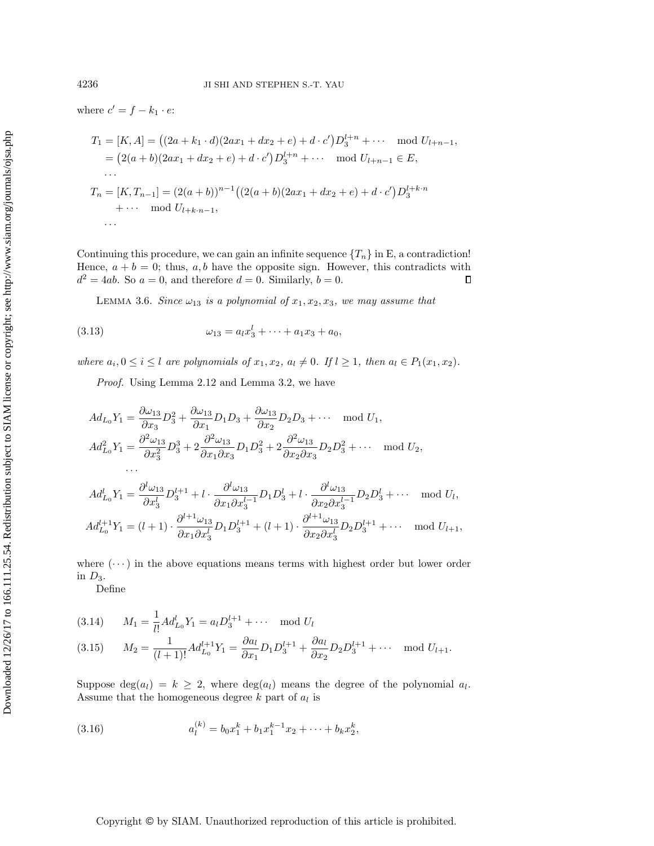where  $c' = f - k_1 \cdot e$ :

$$
T_1 = [K, A] = ((2a + k_1 \cdot d)(2ax_1 + dx_2 + e) + d \cdot c')D_3^{l+n} + \cdots \mod U_{l+n-1},
$$
  
\n
$$
= (2(a + b)(2ax_1 + dx_2 + e) + d \cdot c')D_3^{l+n} + \cdots \mod U_{l+n-1} \in E,
$$
  
\n
$$
\cdots
$$
  
\n
$$
T_n = [K, T_{n-1}] = (2(a + b))^{n-1}((2(a + b)(2ax_1 + dx_2 + e) + d \cdot c')D_3^{l+k \cdot n} + \cdots \mod U_{l+k \cdot n-1},
$$
  
\n
$$
\cdots
$$

Continuing this procedure, we can gain an infinite sequence  $\{T_n\}$  in E, a contradiction! Hence,  $a + b = 0$ ; thus, a, b have the opposite sign. However, this contradicts with  $d^2 = 4ab$ . So  $a = 0$ , and therefore  $d = 0$ . Similarly,  $b = 0$ .  $\Box$ 

<span id="page-9-0"></span>LEMMA 3.6. Since  $\omega_{13}$  is a polynomial of  $x_1, x_2, x_3$ , we may assume that

(3.13) 
$$
\omega_{13} = a_l x_3^l + \cdots + a_1 x_3 + a_0,
$$

where  $a_i, 0 \le i \le l$  are polynomials of  $x_1, x_2, a_l \ne 0$ . If  $l \ge 1$ , then  $a_l \in P_1(x_1, x_2)$ .

Proof. Using Lemma [2.12](#page-4-1) and Lemma [3.2,](#page-5-2) we have

 $\partial x_1 \partial x_3^l$ 

$$
Ad_{L_0}Y_1 = \frac{\partial \omega_{13}}{\partial x_3}D_3^2 + \frac{\partial \omega_{13}}{\partial x_1}D_1D_3 + \frac{\partial \omega_{13}}{\partial x_2}D_2D_3 + \cdots \mod U_1,
$$
  
\n
$$
Ad_{L_0}^2Y_1 = \frac{\partial^2 \omega_{13}}{\partial x_3^2}D_3^3 + 2\frac{\partial^2 \omega_{13}}{\partial x_1 \partial x_3}D_1D_3^2 + 2\frac{\partial^2 \omega_{13}}{\partial x_2 \partial x_3}D_2D_3^2 + \cdots \mod U_2,
$$
  
\n...  
\n
$$
Ad_{L_0}^lY_1 = \frac{\partial^l \omega_{13}}{\partial x_3^l}D_3^{l+1} + l \cdot \frac{\partial^l \omega_{13}}{\partial x_1 \partial x_3^{l-1}}D_1D_3^l + l \cdot \frac{\partial^l \omega_{13}}{\partial x_2 \partial x_3^{l-1}}D_2D_3^l + \cdots \mod U_l,
$$
  
\n
$$
Ad_{L_0}^{l+1}Y_1 = (l+1) \cdot \frac{\partial^{l+1} \omega_{13}}{\partial x_1 \partial x_3^{l}}D_1D_3^{l+1} + (l+1) \cdot \frac{\partial^{l+1} \omega_{13}}{\partial x_2 \partial x_3^{l}}D_2D_3^{l+1} + \cdots \mod U_{l+1},
$$

where  $(\cdots)$  in the above equations means terms with highest order but lower order in  $D_3$ .

 $\partial x_2 \partial x_3^l$ 

Define

1

(3.14) 
$$
M_1 = \frac{1}{l!} Ad_{L_0}^l Y_1 = a_l D_3^{l+1} + \cdots \mod U_l
$$
  
(3.15) 
$$
M_2 = \frac{1}{(l+1)!} Ad_{L_0}^{l+1} Y_1 = \frac{\partial a_l}{\partial x_1} D_1 D_3^{l+1} + \frac{\partial a_l}{\partial x_2} D_2 D_3^{l+1} + \cdots \mod U_{l+1}.
$$

Suppose  $deg(a_l) = k \geq 2$ , where  $deg(a_l)$  means the degree of the polynomial  $a_l$ . Assume that the homogeneous degree  $k$  part of  $a_l$  is

(3.16) 
$$
a_l^{(k)} = b_0 x_1^k + b_1 x_1^{k-1} x_2 + \dots + b_k x_2^k,
$$

Copyright © by SIAM. Unauthorized reproduction of this article is prohibited.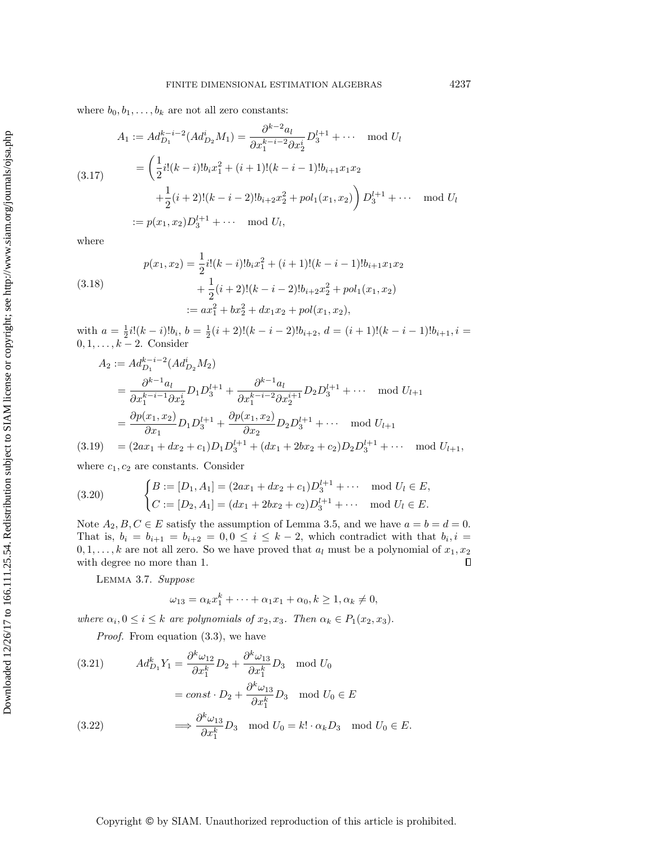where  $b_0, b_1, \ldots, b_k$  are not all zero constants:

$$
A_1 := Ad_{D_1}^{k-i-2}(Ad_{D_2}^i M_1) = \frac{\partial^{k-2} a_l}{\partial x_1^{k-i-2} \partial x_2^i} D_3^{l+1} + \cdots \mod U_l
$$
  
\n
$$
= \left(\frac{1}{2} i! (k-i)! b_i x_1^2 + (i+1)! (k-i-1)! b_{i+1} x_1 x_2 + \frac{1}{2} (i+2)! (k-i-2)! b_{i+2} x_2^2 + pol_1(x_1, x_2)\right) D_3^{l+1} + \cdots \mod U_l
$$
  
\n
$$
:= p(x_1, x_2) D_3^{l+1} + \cdots \mod U_l,
$$

where

(3.18)  
\n
$$
p(x_1, x_2) = \frac{1}{2}i!(k-i)!b_ix_1^2 + (i+1)!(k-i-1)!b_{i+1}x_1x_2
$$
\n
$$
+ \frac{1}{2}(i+2)!(k-i-2)!b_{i+2}x_2^2 + pol_1(x_1, x_2)
$$
\n
$$
:= ax_1^2 + bx_2^2 + dx_1x_2 + pol(x_1, x_2),
$$

with  $a = \frac{1}{2}i!(k-i)!b_i$ ,  $b = \frac{1}{2}(i+2)!(k-i-2)!b_{i+2}$ ,  $d = (i+1)!(k-i-1)!b_{i+1}$ ,  $i =$  $0, 1, \ldots, k-2$ . Consider

$$
A_2 := Ad_{D_1}^{k-i-2}(Ad_{D_2}^i M_2)
$$
  
=  $\frac{\partial^{k-1} a_l}{\partial x_1^{k-i-1} \partial x_2^i} D_1 D_3^{l+1} + \frac{\partial^{k-1} a_l}{\partial x_1^{k-i-2} \partial x_2^{i+1}} D_2 D_3^{l+1} + \cdots \mod U_{l+1}$   
=  $\frac{\partial p(x_1, x_2)}{\partial x_1} D_1 D_3^{l+1} + \frac{\partial p(x_1, x_2)}{\partial x_2} D_2 D_3^{l+1} + \cdots \mod U_{l+1}$   
(3.19) =  $(2ax_1 + dx_2 + c_1) D_1 D_3^{l+1} + (dx_1 + 2bx_2 + c_2) D_2 D_3^{l+1} + \cdots \mod U_{l+1},$ 

where  $c_1, c_2$  are constants. Consider

(3.20) 
$$
\begin{cases} B := [D_1, A_1] = (2ax_1 + dx_2 + c_1)D_3^{l+1} + \cdots \mod U_l \in E, \\ C := [D_2, A_1] = (dx_1 + 2bx_2 + c_2)D_3^{l+1} + \cdots \mod U_l \in E. \end{cases}
$$

Note  $A_2, B, C \in E$  satisfy the assumption of Lemma [3.5,](#page-8-0) and we have  $a = b = d = 0$ . That is,  $b_i = b_{i+1} = b_{i+2} = 0, 0 \leq i \leq k-2$ , which contradict with that  $b_i, i =$  $0, 1, \ldots, k$  are not all zero. So we have proved that  $a_l$  must be a polynomial of  $x_1, x_2$ with degree no more than 1.  $\Box$ 

<span id="page-10-0"></span>Lemma 3.7. Suppose

$$
\omega_{13} = \alpha_k x_1^k + \dots + \alpha_1 x_1 + \alpha_0, k \ge 1, \alpha_k \ne 0,
$$

where  $\alpha_i, 0 \leq i \leq k$  are polynomials of  $x_2, x_3$ . Then  $\alpha_k \in P_1(x_2, x_3)$ .

Proof. From equation  $(3.3)$ , we have

(3.21) 
$$
Ad_{D_1}^k Y_1 = \frac{\partial^k \omega_{12}}{\partial x_1^k} D_2 + \frac{\partial^k \omega_{13}}{\partial x_1^k} D_3 \mod U_0
$$

$$
= const \cdot D_2 + \frac{\partial^k \omega_{13}}{\partial x_1^k} D_3 \mod U_0 \in E
$$

$$
(3.22) \qquad \Longrightarrow \frac{\partial^k \omega_{13}}{\partial x_1^k} D_3 \mod U_0 = k! \cdot \alpha_k D_3 \mod U_0 \in E.
$$

Copyright © by SIAM. Unauthorized reproduction of this article is prohibited.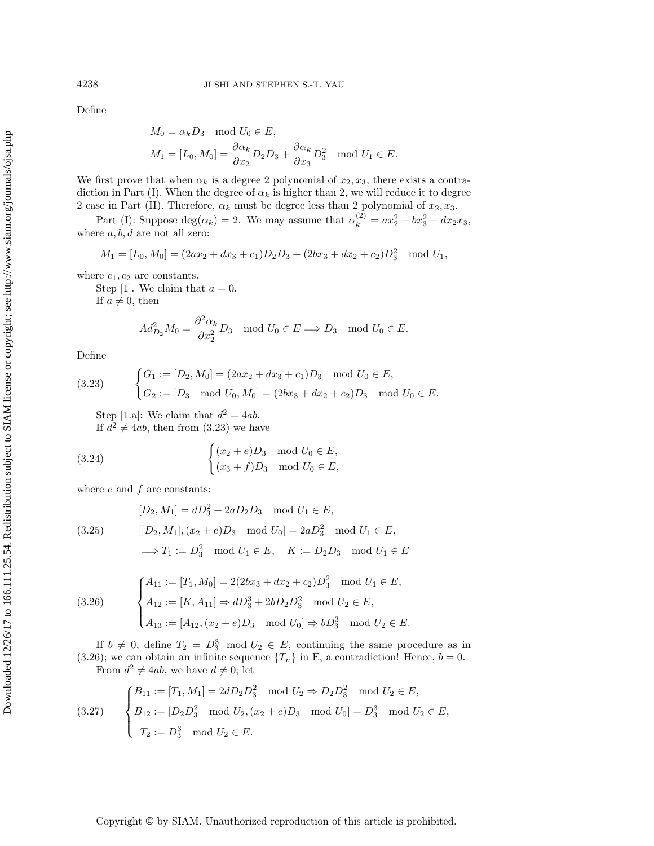Define

$$
M_0 = \alpha_k D_3 \mod U_0 \in E,
$$
  
\n
$$
M_1 = [L_0, M_0] = \frac{\partial \alpha_k}{\partial x_2} D_2 D_3 + \frac{\partial \alpha_k}{\partial x_3} D_3^2 \mod U_1 \in E.
$$

We first prove that when  $\alpha_k$  is a degree 2 polynomial of  $x_2, x_3$ , there exists a contradiction in Part (I). When the degree of  $\alpha_k$  is higher than 2, we will reduce it to degree 2 case in Part (II). Therefore,  $\alpha_k$  must be degree less than 2 polynomial of  $x_2, x_3$ .

Part (I): Suppose  $deg(\alpha_k) = 2$ . We may assume that  $\alpha_k^{(2)} = ax_2^2 + bx_3^2 + dx_2x_3$ , where  $a, b, d$  are not all zero:

$$
M_1 = [L_0, M_0] = (2ax_2 + dx_3 + c_1)D_2D_3 + (2bx_3 + dx_2 + c_2)D_3^2 \mod U_1,
$$

where  $c_1, c_2$  are constants.

Step [1]. We claim that  $a = 0$ . If  $a \neq 0$ , then

$$
Ad_{D_2}^2 M_0 = \frac{\partial^2 \alpha_k}{\partial x_2^2} D_3 \mod U_0 \in E \Longrightarrow D_3 \mod U_0 \in E.
$$

Define

<span id="page-11-0"></span>(3.23) 
$$
\begin{cases} G_1 := [D_2, M_0] = (2ax_2 + dx_3 + c_1)D_3 \mod U_0 \in E, \\ G_2 := [D_3 \mod U_0, M_0] = (2bx_3 + dx_2 + c_2)D_3 \mod U_0 \in E. \end{cases}
$$

Step [1.a]: We claim that  $d^2 = 4ab$ .

If  $d^2 \neq 4ab$ , then from (3.[23\)](#page-11-0) we have

(3.24) 
$$
\begin{cases} (x_2 + e)D_3 \mod U_0 \in E, \\ (x_3 + f)D_3 \mod U_0 \in E, \end{cases}
$$

where  $e$  and  $f$  are constants:

<span id="page-11-3"></span>
$$
[D_2, M_1] = dD_3^2 + 2aD_2D_3 \mod U_1 \in E,
$$
  
(3.25) 
$$
[[D_2, M_1], (x_2 + e)D_3 \mod U_0] = 2aD_3^2 \mod U_1 \in E,
$$

$$
\implies T_1 := D_3^2 \mod U_1 \in E, \quad K := D_2D_3 \mod U_1 \in E
$$

<span id="page-11-1"></span>(3.26) 
$$
\begin{cases} A_{11} := [T_1, M_0] = 2(2bx_3 + dx_2 + c_2)D_3^2 \mod U_1 \in E, \\ A_{12} := [K, A_{11}] \Rightarrow dD_3^3 + 2bD_2D_3^2 \mod U_2 \in E, \end{cases}
$$

$$
A_{13} := [A_{12}, (x_2 + e)D_3 \mod U_0] \Rightarrow bD_3^3 \mod U_2 \in E.
$$

If  $b \neq 0$ , define  $T_2 = D_3^3 \mod U_2 \in E$ , continuing the same procedure as in (3.[26\)](#page-11-1); we can obtain an infinite sequence  $\{T_n\}$  in E, a contradiction! Hence,  $b = 0$ . From  $d^2 \neq 4ab$ , we have  $d \neq 0$ ; let

<span id="page-11-2"></span>(3.27) 
$$
\begin{cases} B_{11} := [T_1, M_1] = 2dD_2D_3^2 \mod U_2 \Rightarrow D_2D_3^2 \mod U_2 \in E, \\ B_{12} := [D_2D_3^2 \mod U_2, (x_2 + e)D_3 \mod U_0] = D_3^3 \mod U_2 \in E, \\ T_2 := D_3^3 \mod U_2 \in E. \end{cases}
$$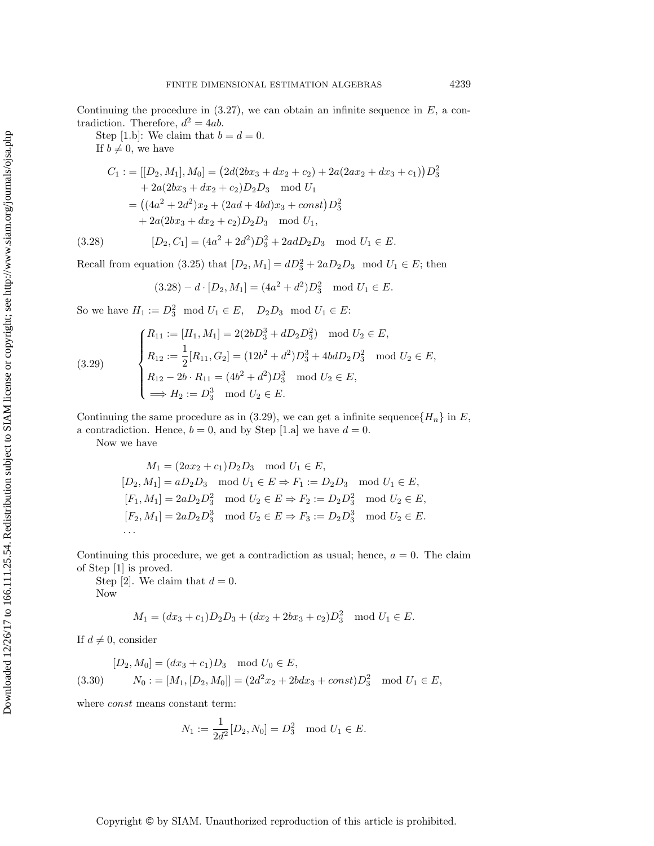Step [1.b]: We claim that  $b = d = 0$ .

If  $b \neq 0$ , we have

$$
C_1 := [[D_2, M_1], M_0] = (2d(2bx_3 + dx_2 + c_2) + 2a(2ax_2 + dx_3 + c_1))D_3^2
$$
  
+ 2a(2bx\_3 + dx\_2 + c\_2)D\_2D\_3 mod U<sub>1</sub>  
= ((4a<sup>2</sup> + 2d<sup>2</sup>)x<sub>2</sub> + (2ad + 4bd)x<sub>3</sub> + const)D\_3^2  
+ 2a(2bx\_3 + dx\_2 + c\_2)D\_2D\_3 mod U<sub>1</sub>,  
(3.28) 
$$
[D_2, C_1] = (4a2 + 2d2)D_3^2 + 2adD_2D_3 mod U_1 \in E.
$$

<span id="page-12-0"></span>

Downloaded 12/26/17 to 166.111.25.54. Redistribution subject to SIAM license or copyright; see http://www.siam.org/journals/ojsa.php Downloaded 12/26/17 to 166.111.25.54. Redistribution subject to SIAM license or copyright; see http://www.siam.org/journals/ojsa.php

Recall from equation (3.25) that 
$$
[D_2, M_1] = dD_3^2 + 2aD_2D_3 \mod U_1 \in E
$$
; then

$$
(3.28) - d \cdot [D_2, M_1] = (4a^2 + d^2)D_3^2 \mod U_1 \in E.
$$

So we have  $H_1 := D_3^2 \mod U_1 \in E$ ,  $D_2D_3 \mod U_1 \in E$ :

<span id="page-12-1"></span>(3.29) 
$$
\begin{cases} R_{11} := [H_1, M_1] = 2(2bD_3^3 + dD_2D_3^2) \mod U_2 \in E, \\ R_{12} := \frac{1}{2}[R_{11}, G_2] = (12b^2 + d^2)D_3^3 + 4bdD_2D_3^2 \mod U_2 \in E, \\ R_{12} - 2b \cdot R_{11} = (4b^2 + d^2)D_3^3 \mod U_2 \in E, \\ \implies H_2 := D_3^3 \mod U_2 \in E. \end{cases}
$$

Continuing the same procedure as in (3.[29\)](#page-12-1), we can get a infinite sequence  $\{H_n\}$  in E, a contradiction. Hence,  $b = 0$ , and by Step [1.a] we have  $d = 0$ .

Now we have

$$
M_1 = (2ax_2 + c_1)D_2D_3 \mod U_1 \in E,
$$
  
\n
$$
[D_2, M_1] = aD_2D_3 \mod U_1 \in E \Rightarrow F_1 := D_2D_3 \mod U_1 \in E,
$$
  
\n
$$
[F_1, M_1] = 2aD_2D_3^2 \mod U_2 \in E \Rightarrow F_2 := D_2D_3^2 \mod U_2 \in E,
$$
  
\n
$$
[F_2, M_1] = 2aD_2D_3^3 \mod U_2 \in E \Rightarrow F_3 := D_2D_3^3 \mod U_2 \in E.
$$
  
\n...

Continuing this procedure, we get a contradiction as usual; hence,  $a = 0$ . The claim of Step [1] is proved.

Step [2]. We claim that  $d = 0$ . Now

$$
M_1 = (dx_3 + c_1)D_2D_3 + (dx_2 + 2bx_3 + c_2)D_3^2 \mod U_1 \in E.
$$

If  $d \neq 0$ , consider

<span id="page-12-2"></span>
$$
[D_2, M_0] = (dx_3 + c_1)D_3 \mod U_0 \in E,
$$
  
(3.30) 
$$
N_0 := [M_1, [D_2, M_0]] = (2d^2x_2 + 2bdx_3 + const)D_3^2 \mod U_1 \in E,
$$

 $\overline{1}$ 

where *const* means constant term:

$$
N_1 := \frac{1}{2d^2} [D_2, N_0] = D_3^2 \mod U_1 \in E.
$$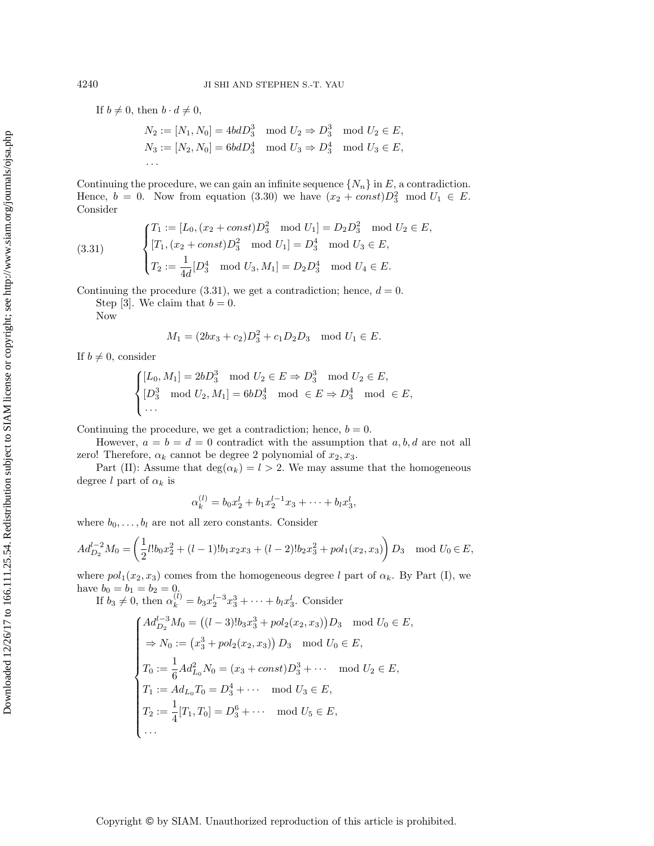If  $b \neq 0$ , then  $b \cdot d \neq 0$ ,

$$
N_2 := [N_1, N_0] = 4bdD_3^3 \mod U_2 \Rightarrow D_3^3 \mod U_2 \in E,
$$
  
\n
$$
N_3 := [N_2, N_0] = 6bdD_3^4 \mod U_3 \Rightarrow D_3^4 \mod U_3 \in E,
$$
  
\n...

Continuing the procedure, we can gain an infinite sequence  $\{N_n\}$  in E, a contradiction. Hence,  $b = 0$ . Now from equation [\(3.30\)](#page-12-2) we have  $(x_2 + const)D_3^2 \mod U_1 \in E$ . Consider

<span id="page-13-0"></span>(3.31) 
$$
\begin{cases} T_1 := [L_0, (x_2 + const)D_3^2 \mod U_1] = D_2D_3^2 \mod U_2 \in E, \\ [T_1, (x_2 + const)D_3^2 \mod U_1] = D_3^4 \mod U_3 \in E, \\ T_2 := \frac{1}{4d}[D_3^4 \mod U_3, M_1] = D_2D_3^4 \mod U_4 \in E. \end{cases}
$$

Continuing the procedure  $(3.31)$  $(3.31)$ , we get a contradiction; hence,  $d = 0$ .

Step [3]. We claim that  $b = 0$ .

Now

$$
M_1 = (2bx_3 + c_2)D_3^2 + c_1D_2D_3 \mod U_1 \in E.
$$

If  $b \neq 0$ , consider

$$
\begin{cases} [L_0, M_1] = 2bD_3^3 \mod U_2 \in E \Rightarrow D_3^3 \mod U_2 \in E, \\ [D_3^3 \mod U_2, M_1] = 6bD_3^4 \mod \in E \Rightarrow D_3^4 \mod \in E, \\ \dots \end{cases}
$$

Continuing the procedure, we get a contradiction; hence,  $b = 0$ .

However,  $a = b = d = 0$  contradict with the assumption that a, b, d are not all zero! Therefore,  $\alpha_k$  cannot be degree 2 polynomial of  $x_2, x_3$ .

Part (II): Assume that  $deg(\alpha_k) = l > 2$ . We may assume that the homogeneous degree l part of  $\alpha_k$  is

$$
\alpha_k^{(l)} = b_0 x_2^l + b_1 x_2^{l-1} x_3 + \dots + b_l x_3^l,
$$

where  $b_0, \ldots, b_l$  are not all zero constants. Consider

$$
Ad_{D_2}^{l-2}M_0 = \left(\frac{1}{2}l!b_0x_2^2 + (l-1)!b_1x_2x_3 + (l-2)!b_2x_3^2 + pol_1(x_2, x_3)\right)D_3 \mod U_0 \in E,
$$

where  $pol_1(x_2, x_3)$  comes from the homogeneous degree l part of  $\alpha_k$ . By Part (I), we have  $b_0 = b_1 = b_2 = 0$ .

If  $b_3 \neq 0$ , then  $\alpha_k^{(l)} = b_3 x_2^{l-3} x_3^3 + \cdots + b_l x_3^l$ . Consider

$$
\begin{cases}\nAd_{D_2}^{l-3} M_0 = ((l-3)!b_3x_3^3 + pol_2(x_2, x_3))D_3 \mod U_0 \in E, \\
\Rightarrow N_0 := (x_3^3 + pol_2(x_2, x_3)) D_3 \mod U_0 \in E, \\
T_0 := \frac{1}{6} Ad_{L_0}^2 N_0 = (x_3 + const)D_3^3 + \cdots \mod U_2 \in E, \\
T_1 := Ad_{L_0} T_0 = D_3^4 + \cdots \mod U_3 \in E, \\
T_2 := \frac{1}{4}[T_1, T_0] = D_3^6 + \cdots \mod U_5 \in E, \\
\cdots\n\end{cases}
$$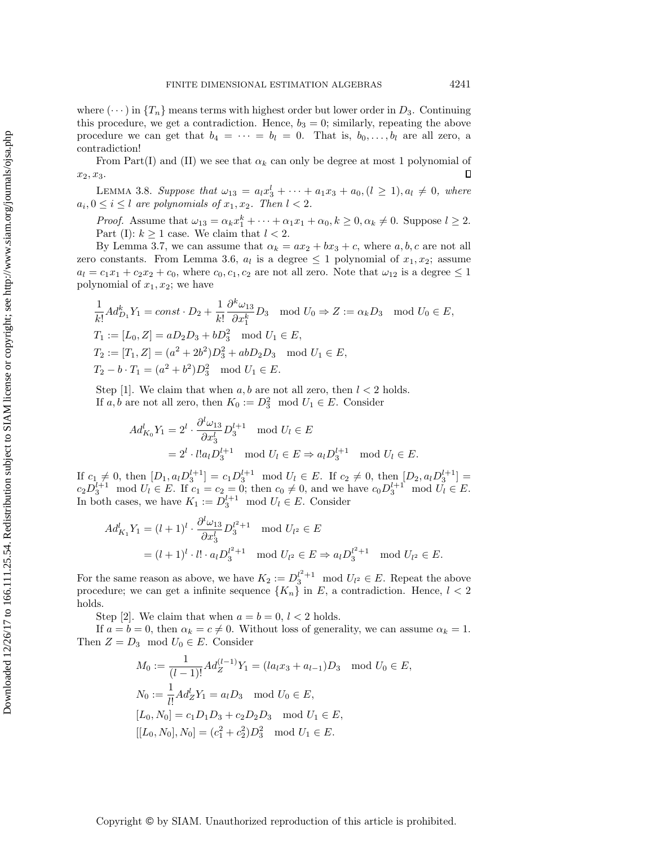where  $(\cdots)$  in  $\{T_n\}$  means terms with highest order but lower order in  $D_3$ . Continuing this procedure, we get a contradiction. Hence,  $b_3 = 0$ ; similarly, repeating the above procedure we can get that  $b_4 = \cdots = b_l = 0$ . That is,  $b_0, \ldots, b_l$  are all zero, a contradiction!

From Part(I) and (II) we see that  $\alpha_k$  can only be degree at most 1 polynomial of  $x_2, x_3.$  $\Box$ 

<span id="page-14-0"></span>LEMMA 3.8. Suppose that  $\omega_{13} = a_l x_3^l + \cdots + a_1 x_3 + a_0, (l \ge 1), a_l \ne 0$ , where  $a_i, 0 \leq i \leq l$  are polynomials of  $x_1, x_2$ . Then  $l < 2$ .

*Proof.* Assume that  $\omega_{13} = \alpha_k x_1^k + \cdots + \alpha_1 x_1 + \alpha_0, k \ge 0, \alpha_k \ne 0$ . Suppose  $l \ge 2$ . Part (I):  $k \geq 1$  case. We claim that  $l < 2$ .

By Lemma [3.7,](#page-10-0) we can assume that  $\alpha_k = ax_2 + bx_3 + c$ , where  $a, b, c$  are not all zero constants. From Lemma [3.6,](#page-9-0)  $a_l$  is a degree  $\leq 1$  polynomial of  $x_1, x_2$ ; assume  $a_l = c_1x_1 + c_2x_2 + c_0$ , where  $c_0, c_1, c_2$  are not all zero. Note that  $\omega_{12}$  is a degree  $\leq 1$ polynomial of  $x_1, x_2$ ; we have

$$
\frac{1}{k!} Ad_{D_1}^k Y_1 = const \cdot D_2 + \frac{1}{k!} \frac{\partial^k \omega_{13}}{\partial x_1^k} D_3 \mod U_0 \Rightarrow Z := \alpha_k D_3 \mod U_0 \in E,
$$
  
\n
$$
T_1 := [L_0, Z] = aD_2 D_3 + bD_3^2 \mod U_1 \in E,
$$
  
\n
$$
T_2 := [T_1, Z] = (a^2 + 2b^2)D_3^2 + abD_2 D_3 \mod U_1 \in E,
$$
  
\n
$$
T_2 - b \cdot T_1 = (a^2 + b^2)D_3^2 \mod U_1 \in E.
$$

Step [1]. We claim that when  $a, b$  are not all zero, then  $l < 2$  holds. If a, b are not all zero, then  $K_0 := D_3^2 \mod U_1 \in E$ . Consider

$$
Ad_{K_0}^l Y_1 = 2^l \cdot \frac{\partial^l \omega_{13}}{\partial x_3^l} D_3^{l+1} \mod U_l \in E
$$
  
=  $2^l \cdot l! a_l D_3^{l+1} \mod U_l \in E \Rightarrow a_l D_3^{l+1} \mod U_l \in E.$ 

If  $c_1 \neq 0$ , then  $[D_1, a_l D_3^{l+1}] = c_1 D_3^{l+1} \mod U_l \in E$ . If  $c_2 \neq 0$ , then  $[D_2, a_l D_3^{l+1}] =$  $c_2 D_3^{l+1} \mod U_l \in E$ . If  $c_1 = c_2 = 0$ ; then  $c_0 \neq 0$ , and we have  $c_0 D_3^{l+1} \mod U_l \in E$ . In both cases, we have  $K_1 := D_3^{l+1} \mod U_l \in E$ . Consider

$$
Ad_{K_1}^l Y_1 = (l+1)^l \cdot \frac{\partial^l \omega_{13}}{\partial x_3^l} D_3^{l^2+1} \mod U_{l^2} \in E
$$
  
=  $(l+1)^l \cdot l! \cdot a_l D_3^{l^2+1} \mod U_{l^2} \in E \Rightarrow a_l D_3^{l^2+1} \mod U_{l^2} \in E.$ 

For the same reason as above, we have  $K_2 := D_3^{l^2+1} \mod U_{l^2} \in E$ . Repeat the above procedure; we can get a infinite sequence  $\{K_n\}$  in E, a contradiction. Hence,  $l < 2$ holds.

Step [2]. We claim that when  $a = b = 0, l < 2$  holds.

If  $a = b = 0$ , then  $\alpha_k = c \neq 0$ . Without loss of generality, we can assume  $\alpha_k = 1$ . Then  $Z = D_3 \mod U_0 \in E$ . Consider

$$
M_0 := \frac{1}{(l-1)!} A d_Z^{(l-1)} Y_1 = (la_l x_3 + a_{l-1}) D_3 \mod U_0 \in E,
$$
  
\n
$$
N_0 := \frac{1}{l!} A d_Z^l Y_1 = a_l D_3 \mod U_0 \in E,
$$
  
\n
$$
[L_0, N_0] = c_1 D_1 D_3 + c_2 D_2 D_3 \mod U_1 \in E,
$$
  
\n
$$
[[L_0, N_0], N_0] = (c_1^2 + c_2^2) D_3^2 \mod U_1 \in E.
$$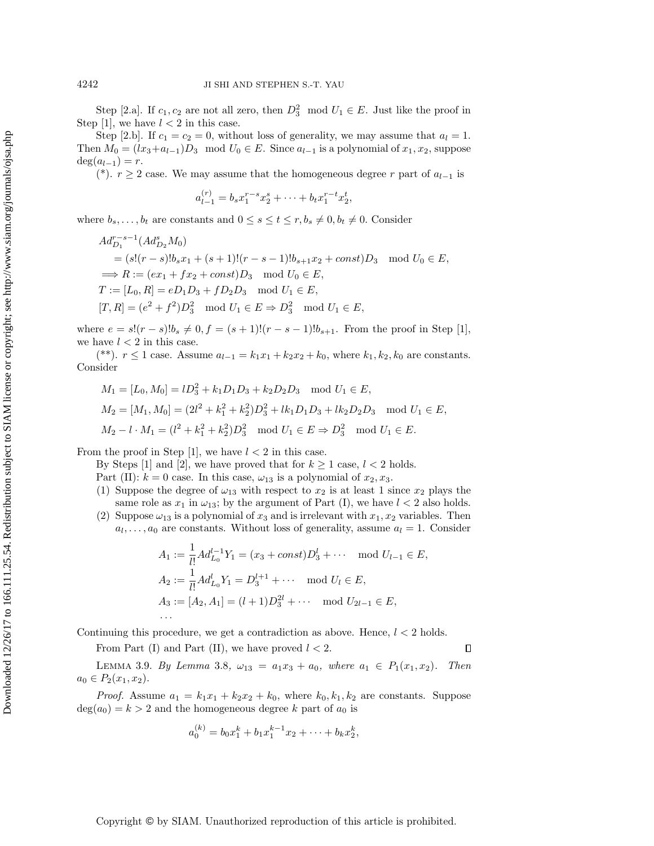Step [2.a]. If  $c_1, c_2$  are not all zero, then  $D_3^2 \mod U_1 \in E$ . Just like the proof in Step [1], we have  $l < 2$  in this case.

Step [2.b]. If  $c_1 = c_2 = 0$ , without loss of generality, we may assume that  $a_l = 1$ . Then  $M_0 = (lx_3 + a_{l-1})D_3 \mod U_0 \in E$ . Since  $a_{l-1}$  is a polynomial of  $x_1, x_2$ , suppose  $deg(a_{l-1}) = r.$ 

(\*).  $r \geq 2$  case. We may assume that the homogeneous degree r part of  $a_{l-1}$  is

$$
a_{l-1}^{(r)} = b_s x_1^{r-s} x_2^s + \dots + b_t x_1^{r-t} x_2^t,
$$

where  $b_s, \ldots, b_t$  are constants and  $0 \le s \le t \le r, b_s \neq 0, b_t \neq 0$ . Consider

$$
Ad_{D_1}^{r-s-1}(Ad_{D_2}^s M_0)
$$
  
=  $(s!(r-s)!b_sx_1 + (s+1)!(r-s-1)!b_{s+1}x_2 + const)D_3 \mod U_0 \in E$ ,  
 $\implies R := (ex_1 + fx_2 + const)D_3 \mod U_0 \in E$ ,  
 $T := [L_0, R] = eD_1D_3 + fD_2D_3 \mod U_1 \in E$ ,  
 $[T, R] = (e^2 + f^2)D_3^2 \mod U_1 \in E \implies D_3^2 \mod U_1 \in E$ ,

where  $e = s!(r - s)!b_s \neq 0, f = (s + 1)!(r - s - 1)!b_{s+1}$ . From the proof in Step [1], we have  $l < 2$  in this case.

(\*\*).  $r \le 1$  case. Assume  $a_{l-1} = k_1x_1 + k_2x_2 + k_0$ , where  $k_1, k_2, k_0$  are constants. Consider

$$
M_1 = [L_0, M_0] = lD_3^2 + k_1 D_1 D_3 + k_2 D_2 D_3 \mod U_1 \in E,
$$
  
\n
$$
M_2 = [M_1, M_0] = (2l^2 + k_1^2 + k_2^2)D_3^2 + lk_1 D_1 D_3 + lk_2 D_2 D_3 \mod U_1 \in E,
$$
  
\n
$$
M_2 - l \cdot M_1 = (l^2 + k_1^2 + k_2^2)D_3^2 \mod U_1 \in E \Rightarrow D_3^2 \mod U_1 \in E.
$$

From the proof in Step [1], we have  $l < 2$  in this case.

By Steps [1] and [2], we have proved that for  $k \ge 1$  case,  $l < 2$  holds.

Part (II):  $k = 0$  case. In this case,  $\omega_{13}$  is a polynomial of  $x_2, x_3$ .

- (1) Suppose the degree of  $\omega_{13}$  with respect to  $x_2$  is at least 1 since  $x_2$  plays the same role as  $x_1$  in  $\omega_{13}$ ; by the argument of Part (I), we have  $l < 2$  also holds.
- (2) Suppose  $\omega_{13}$  is a polynomial of  $x_3$  and is irrelevant with  $x_1, x_2$  variables. Then  $a_l, \ldots, a_0$  are constants. Without loss of generality, assume  $a_l = 1$ . Consider

$$
A_1 := \frac{1}{l!} Ad_{L_0}^{l-1} Y_1 = (x_3 + const)D_3^l + \cdots \mod U_{l-1} \in E,
$$
  
\n
$$
A_2 := \frac{1}{l!} Ad_{L_0}^l Y_1 = D_3^{l+1} + \cdots \mod U_l \in E,
$$
  
\n
$$
A_3 := [A_2, A_1] = (l+1)D_3^{2l} + \cdots \mod U_{2l-1} \in E,
$$
  
\n
$$
\cdots
$$

 $\Box$ 

Continuing this procedure, we get a contradiction as above. Hence,  $l < 2$  holds.

From Part (I) and Part (II), we have proved  $l < 2$ .

<span id="page-15-0"></span>LEMMA 3.9. By Lemma [3.8](#page-14-0),  $\omega_{13} = a_1x_3 + a_0$ , where  $a_1 \in P_1(x_1, x_2)$ . Then  $a_0 \in P_2(x_1, x_2)$ .

*Proof.* Assume  $a_1 = k_1x_1 + k_2x_2 + k_0$ , where  $k_0, k_1, k_2$  are constants. Suppose  $deg(a_0) = k > 2$  and the homogeneous degree k part of  $a_0$  is

$$
a_0^{(k)} = b_0 x_1^k + b_1 x_1^{k-1} x_2 + \dots + b_k x_2^k,
$$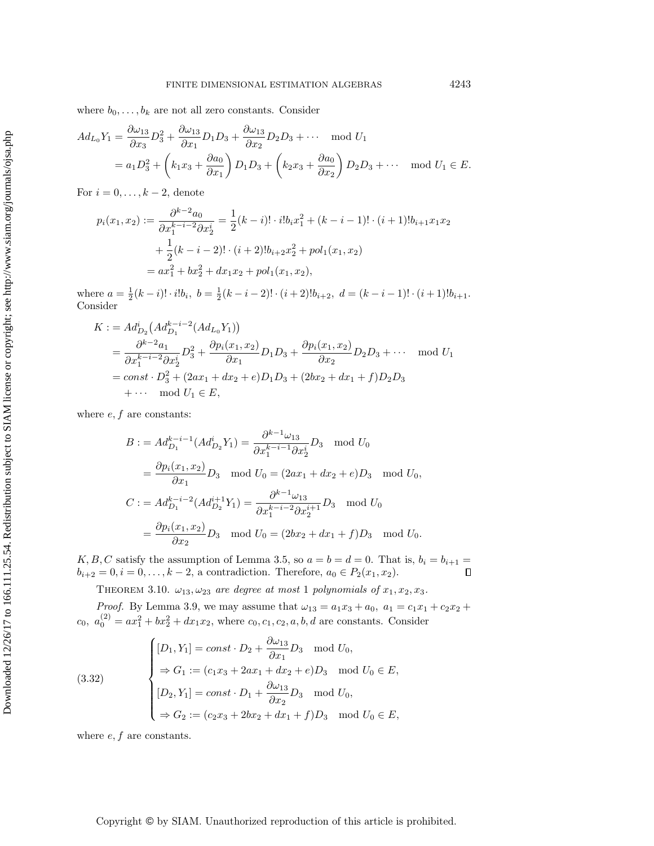where  $b_0, \ldots, b_k$  are not all zero constants. Consider

$$
Ad_{L_0}Y_1 = \frac{\partial \omega_{13}}{\partial x_3} D_3^2 + \frac{\partial \omega_{13}}{\partial x_1} D_1 D_3 + \frac{\partial \omega_{13}}{\partial x_2} D_2 D_3 + \cdots \mod U_1
$$
  
=  $a_1 D_3^2 + \left(k_1 x_3 + \frac{\partial a_0}{\partial x_1}\right) D_1 D_3 + \left(k_2 x_3 + \frac{\partial a_0}{\partial x_2}\right) D_2 D_3 + \cdots \mod U_1 \in E.$ 

For  $i = 0, \ldots, k - 2$ , denote

$$
p_i(x_1, x_2) := \frac{\partial^{k-2} a_0}{\partial x_1^{k-i-2} \partial x_2^i} = \frac{1}{2} (k-i)! \cdot i! b_i x_1^2 + (k-i-1)! \cdot (i+1)! b_{i+1} x_1 x_2
$$

$$
+ \frac{1}{2} (k-i-2)! \cdot (i+2)! b_{i+2} x_2^2 + pol_1(x_1, x_2)
$$

$$
= ax_1^2 + bx_2^2 + dx_1 x_2 + pol_1(x_1, x_2),
$$

where  $a = \frac{1}{2}(k-i)! \cdot i! b_i$ ,  $b = \frac{1}{2}(k-i-2)! \cdot (i+2)! b_{i+2}$ ,  $d = (k-i-1)! \cdot (i+1)! b_{i+1}$ . Consider

$$
K := Ad_{D_2}^i (Ad_{D_1}^{k-i-2} (Ad_{L_0} Y_1))
$$
  
=  $\frac{\partial^{k-2} a_1}{\partial x_1^{k-i-2} \partial x_2^i} D_3^2 + \frac{\partial p_i(x_1, x_2)}{\partial x_1} D_1 D_3 + \frac{\partial p_i(x_1, x_2)}{\partial x_2} D_2 D_3 + \cdots \mod U_1$   
=  $const \cdot D_3^2 + (2ax_1 + dx_2 + e)D_1 D_3 + (2bx_2 + dx_1 + f)D_2 D_3$   
+  $\cdots \mod U_1 \in E$ ,

where  $e, f$  are constants:

$$
B := Ad_{D_1}^{k-i-1}(Ad_{D_2}^i Y_1) = \frac{\partial^{k-1} \omega_{13}}{\partial x_1^{k-i-1} \partial x_2^i} D_3 \mod U_0
$$
  
\n
$$
= \frac{\partial p_i(x_1, x_2)}{\partial x_1} D_3 \mod U_0 = (2ax_1 + dx_2 + e)D_3 \mod U_0,
$$
  
\n
$$
C := Ad_{D_1}^{k-i-2}(Ad_{D_2}^{i+1} Y_1) = \frac{\partial^{k-1} \omega_{13}}{\partial x_1^{k-i-2} \partial x_2^{i+1}} D_3 \mod U_0
$$
  
\n
$$
= \frac{\partial p_i(x_1, x_2)}{\partial x_2} D_3 \mod U_0 = (2bx_2 + dx_1 + f)D_3 \mod U_0.
$$

K, B, C satisfy the assumption of Lemma [3.5,](#page-8-0) so  $a = b = d = 0$ . That is,  $b_i = b_{i+1} =$  $b_{i+2} = 0, i = 0, \ldots, k-2$ , a contradiction. Therefore,  $a_0 \in P_2(x_1, x_2)$ .  $\Box$ 

<span id="page-16-1"></span>THEOREM 3.10.  $\omega_{13}, \omega_{23}$  are degree at most 1 polynomials of  $x_1, x_2, x_3$ .

*Proof.* By Lemma [3.9,](#page-15-0) we may assume that  $\omega_{13} = a_1 x_3 + a_0$ ,  $a_1 = c_1 x_1 + c_2 x_2 +$  $c_0, a_0^{(2)} = ax_1^2 + bx_2^2 + dx_1x_2$ , where  $c_0, c_1, c_2, a, b, d$  are constants. Consider

<span id="page-16-0"></span>(3.32)  

$$
\begin{cases}\n[D_1, Y_1] = const \cdot D_2 + \frac{\partial \omega_{13}}{\partial x_1} D_3 \mod U_0, \\
\Rightarrow G_1 := (c_1 x_3 + 2ax_1 + dx_2 + e)D_3 \mod U_0 \in E, \\
[D_2, Y_1] = const \cdot D_1 + \frac{\partial \omega_{13}}{\partial x_2} D_3 \mod U_0, \\
\Rightarrow G_2 := (c_2 x_3 + 2bx_2 + dx_1 + f)D_3 \mod U_0 \in E,\n\end{cases}
$$

where  $e, f$  are constants.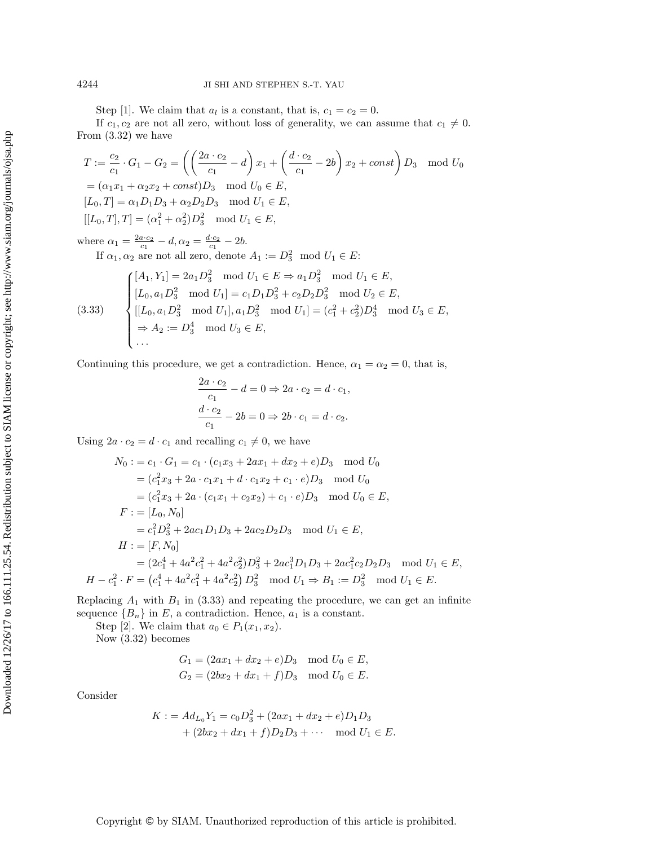Step [1]. We claim that  $a_l$  is a constant, that is,  $c_1 = c_2 = 0$ .

If  $c_1, c_2$  are not all zero, without loss of generality, we can assume that  $c_1 \neq 0$ . From (3.[32\)](#page-16-0) we have

$$
T := \frac{c_2}{c_1} \cdot G_1 - G_2 = \left( \left( \frac{2a \cdot c_2}{c_1} - d \right) x_1 + \left( \frac{d \cdot c_2}{c_1} - 2b \right) x_2 + const \right) D_3 \mod U_0
$$
  
=  $(\alpha_1 x_1 + \alpha_2 x_2 + const) D_3 \mod U_0 \in E$ ,  
[ $L_0, T$ ] =  $\alpha_1 D_1 D_3 + \alpha_2 D_2 D_3 \mod U_1 \in E$ ,  
[ $L_0, T$ ],  $T$ ] =  $(\alpha_1^2 + \alpha_2^2) D_3^2 \mod U_1 \in E$ ,  
1.  $\alpha_2^2 G_2 = 1$  and  $\alpha_3^2 G_3 = 21$ 

where  $\alpha_1 = \frac{2a \cdot c_2}{c_1} - d, \alpha_2 = \frac{d \cdot c_2}{c_1} - 2b.$ 

If  $\alpha_1, \alpha_2$  are not all zero, denote  $A_1 := D_3^2 \mod U_1 \in E$ :

<span id="page-17-0"></span>(3.33) 
$$
\begin{cases} [A_1, Y_1] = 2a_1D_3^2 \mod U_1 \in E \Rightarrow a_1D_3^2 \mod U_1 \in E, \\ [L_0, a_1D_3^2 \mod U_1] = c_1D_1D_3^2 + c_2D_2D_3^2 \mod U_2 \in E, \\ [L_0, a_1D_3^2 \mod U_1], a_1D_3^2 \mod U_1] = (c_1^2 + c_2^2)D_3^4 \mod U_3 \in E, \\ \Rightarrow A_2 := D_3^4 \mod U_3 \in E, \\ \dots \end{cases}
$$

Continuing this procedure, we get a contradiction. Hence,  $\alpha_1 = \alpha_2 = 0$ , that is,

$$
\frac{2a \cdot c_2}{c_1} - d = 0 \Rightarrow 2a \cdot c_2 = d \cdot c_1,
$$
  

$$
\frac{d \cdot c_2}{c_1} - 2b = 0 \Rightarrow 2b \cdot c_1 = d \cdot c_2.
$$

Using  $2a \cdot c_2 = d \cdot c_1$  and recalling  $c_1 \neq 0$ , we have

$$
N_0 := c_1 \cdot G_1 = c_1 \cdot (c_1x_3 + 2ax_1 + dx_2 + e)D_3 \mod U_0
$$
  
\n
$$
= (c_1^2x_3 + 2a \cdot c_1x_1 + d \cdot c_1x_2 + c_1 \cdot e)D_3 \mod U_0
$$
  
\n
$$
= (c_1^2x_3 + 2a \cdot (c_1x_1 + c_2x_2) + c_1 \cdot e)D_3 \mod U_0 \in E,
$$
  
\n
$$
F := [L_0, N_0]
$$
  
\n
$$
= c_1^2D_3^2 + 2ac_1D_1D_3 + 2ac_2D_2D_3 \mod U_1 \in E,
$$
  
\n
$$
H := [F, N_0]
$$
  
\n
$$
= (2c_1^4 + 4a^2c_1^2 + 4a^2c_2^2)D_3^2 + 2ac_1^3D_1D_3 + 2ac_1^2c_2D_2D_3 \mod U_1 \in E,
$$
  
\n
$$
H - c_1^2 \cdot F = (c_1^4 + 4a^2c_1^2 + 4a^2c_2^2)D_3^2 \mod U_1 \Rightarrow B_1 := D_3^2 \mod U_1 \in E.
$$

Replacing  $A_1$  with  $B_1$  in [\(3.33\)](#page-17-0) and repeating the procedure, we can get an infinite sequence  ${B_n}$  in E, a contradiction. Hence,  $a_1$  is a constant.

Step [2]. We claim that  $a_0 \in P_1(x_1, x_2)$ .

Now (3.[32\)](#page-16-0) becomes

$$
G_1 = (2ax_1 + dx_2 + e)D_3 \mod U_0 \in E,
$$
  
\n
$$
G_2 = (2bx_2 + dx_1 + f)D_3 \mod U_0 \in E.
$$

Consider

$$
K := Ad_{L_0}Y_1 = c_0D_3^2 + (2ax_1 + dx_2 + e)D_1D_3
$$
  
+  $(2bx_2 + dx_1 + f)D_2D_3 + \cdots \mod U_1 \in E.$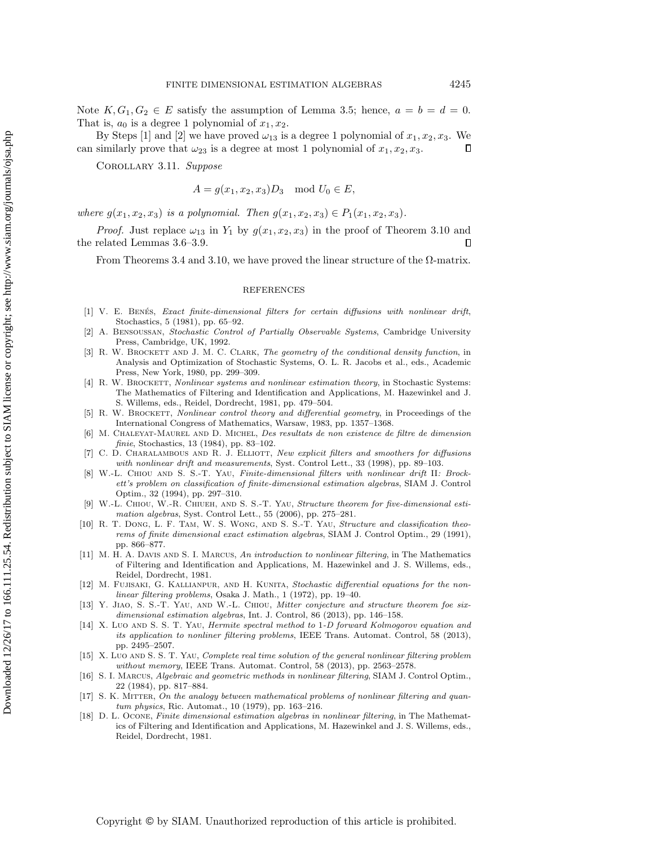Note  $K, G_1, G_2 \in E$  satisfy the assumption of Lemma [3.5;](#page-8-0) hence,  $a = b = d = 0$ . That is,  $a_0$  is a degree 1 polynomial of  $x_1, x_2$ .

By Steps [1] and [2] we have proved  $\omega_{13}$  is a degree 1 polynomial of  $x_1, x_2, x_3$ . We can similarly prove that  $\omega_{23}$  is a degree at most 1 polynomial of  $x_1, x_2, x_3$ .  $\Box$ 

Corollary 3.11. Suppose

 $A = g(x_1, x_2, x_3)D_3 \mod U_0 \in E,$ 

where  $g(x_1, x_2, x_3)$  is a polynomial. Then  $g(x_1, x_2, x_3) \in P_1(x_1, x_2, x_3)$ .

*Proof.* Just replace  $\omega_{13}$  in  $Y_1$  by  $g(x_1, x_2, x_3)$  in the proof of Theorem [3.10](#page-16-1) and the related Lemmas [3.6–](#page-9-0)[3.9.](#page-15-0)  $\Box$ 

From Theorems [3.4](#page-6-3) and [3.10,](#page-16-1) we have proved the linear structure of the  $\Omega$ -matrix.

## REFERENCES

- <span id="page-18-10"></span>[1] V. E. BENÉS, Exact finite-dimensional filters for certain diffusions with nonlinear drift, Stochastics, 5 (1981), pp. 65–92.
- <span id="page-18-6"></span>[2] A. Bensoussan, Stochastic Control of Partially Observable Systems, Cambridge University Press, Cambridge, UK, 1992.
- <span id="page-18-1"></span>[3] R. W. BROCKETT AND J. M. C. CLARK, The geometry of the conditional density function, in Analysis and Optimization of Stochastic Systems, O. L. R. Jacobs et al., eds., Academic Press, New York, 1980, pp. 299–309.
- <span id="page-18-2"></span>[4] R. W. BROCKETT, Nonlinear systems and nonlinear estimation theory, in Stochastic Systems: The Mathematics of Filtering and Identification and Applications, M. Hazewinkel and J. S. Willems, eds., Reidel, Dordrecht, 1981, pp. 479–504.
- <span id="page-18-12"></span>[5] R. W. BROCKETT, Nonlinear control theory and differential geometry, in Proceedings of the International Congress of Mathematics, Warsaw, 1983, pp. 1357–1368.
- <span id="page-18-9"></span>[6] M. Chaleyat-Maurel and D. Michel, Des resultats de non existence de filtre de dimension finie, Stochastics, 13 (1984), pp. 83-102.
- <span id="page-18-11"></span>C. D. CHARALAMBOUS AND R. J. ELLIOTT, New explicit filters and smoothers for diffusions with nonlinear drift and measurements, Syst. Control Lett., 33 (1998), pp. 89–103.
- <span id="page-18-16"></span>[8] W.-L. Chiou and S. S.-T. Yau, Finite-dimensional filters with nonlinear drift II: Brockett's problem on classification of finite-dimensional estimation algebras, SIAM J. Control Optim., 32 (1994), pp. 297–310.
- <span id="page-18-13"></span>W.-L. CHIOU, W.-R. CHIUEH, AND S. S.-T. YAU, Structure theorem for five-dimensional estimation algebras, Syst. Control Lett., 55 (2006), pp. 275–281.
- <span id="page-18-4"></span>[10] R. T. Dong, L. F. Tam, W. S. Wong, and S. S.-T. Yau, Structure and classification theorems of finite dimensional exact estimation algebras, SIAM J. Control Optim., 29 (1991), pp. 866–877.
- [11] M. H. A. DAVIS AND S. I. MARCUS, An introduction to nonlinear filtering, in The Mathematics of Filtering and Identification and Applications, M. Hazewinkel and J. S. Willems, eds., Reidel, Dordrecht, 1981.
- <span id="page-18-0"></span>[12] M. FUJISAKI, G. KALLIANPUR, AND H. KUNITA, Stochastic differential equations for the nonlinear filtering problems, Osaka J. Math., 1 (1972), pp. 19–40.
- <span id="page-18-14"></span>[13] Y. Jiao, S. S.-T. Yau, and W.-L. Chiou, Mitter conjecture and structure theorem foe sixdimensional estimation algebras, Int. J. Control, 86 (2013), pp. 146–158.
- <span id="page-18-7"></span>[14] X. Luo AND S. S. T. YAU, Hermite spectral method to 1-D forward Kolmogorov equation and its application to nonliner filtering problems, IEEE Trans. Automat. Control, 58 (2013), pp. 2495–2507.
- <span id="page-18-8"></span>[15] X. Luo AND S. S. T. YAU, Complete real time solution of the general nonlinear filtering problem without memory, IEEE Trans. Automat. Control, 58 (2013), pp. 2563-2578.
- <span id="page-18-5"></span>[16] S. I. Marcus, Algebraic and geometric methods in nonlinear filtering, SIAM J. Control Optim., 22 (1984), pp. 817–884.
- <span id="page-18-3"></span>[17] S. K. MITTER, On the analogy between mathematical problems of nonlinear filtering and quantum physics, Ric. Automat., 10 (1979), pp. 163–216.
- <span id="page-18-15"></span>[18] D. L. Ocone, Finite dimensional estimation algebras in nonlinear filtering, in The Mathematics of Filtering and Identification and Applications, M. Hazewinkel and J. S. Willems, eds., Reidel, Dordrecht, 1981.